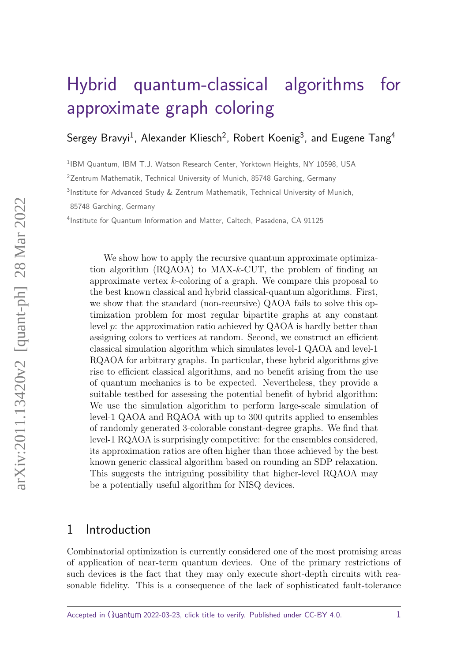# [Hybrid quantum-classical algorithms for](https://quantum-journal.org/?s=Hybrid%20quantum-classical%20algorithms%20for%20approximate%20graph%20coloring&reason=title-click) [approximate graph coloring](https://quantum-journal.org/?s=Hybrid%20quantum-classical%20algorithms%20for%20approximate%20graph%20coloring&reason=title-click)

Sergey Bravyi<sup>1</sup>, Alexander Kliesch<sup>2</sup>, Robert Koenig<sup>3</sup>, and Eugene Tang<sup>4</sup>

<sup>1</sup>IBM Quantum, IBM T.J. Watson Research Center, Yorktown Heights, NY 10598, USA

<sup>2</sup> Zentrum Mathematik, Technical University of Munich, 85748 Garching, Germany

<sup>3</sup>Institute for Advanced Study & Zentrum Mathematik, Technical University of Munich,

85748 Garching, Germany

4 Institute for Quantum Information and Matter, Caltech, Pasadena, CA 91125

We show how to apply the recursive quantum approximate optimization algorithm (RQAOA) to MAX-*k*-CUT, the problem of finding an approximate vertex *k*-coloring of a graph. We compare this proposal to the best known classical and hybrid classical-quantum algorithms. First, we show that the standard (non-recursive) QAOA fails to solve this optimization problem for most regular bipartite graphs at any constant level *p*: the approximation ratio achieved by QAOA is hardly better than assigning colors to vertices at random. Second, we construct an efficient classical simulation algorithm which simulates level-1 QAOA and level-1 RQAOA for arbitrary graphs. In particular, these hybrid algorithms give rise to efficient classical algorithms, and no benefit arising from the use of quantum mechanics is to be expected. Nevertheless, they provide a suitable testbed for assessing the potential benefit of hybrid algorithm: We use the simulation algorithm to perform large-scale simulation of level-1 QAOA and RQAOA with up to 300 qutrits applied to ensembles of randomly generated 3-colorable constant-degree graphs. We find that level-1 RQAOA is surprisingly competitive: for the ensembles considered, its approximation ratios are often higher than those achieved by the best known generic classical algorithm based on rounding an SDP relaxation. This suggests the intriguing possibility that higher-level RQAOA may be a potentially useful algorithm for NISQ devices.

# <span id="page-0-0"></span>1 Introduction

Combinatorial optimization is currently considered one of the most promising areas of application of near-term quantum devices. One of the primary restrictions of such devices is the fact that they may only execute short-depth circuits with reasonable fidelity. This is a consequence of the lack of sophisticated fault-tolerance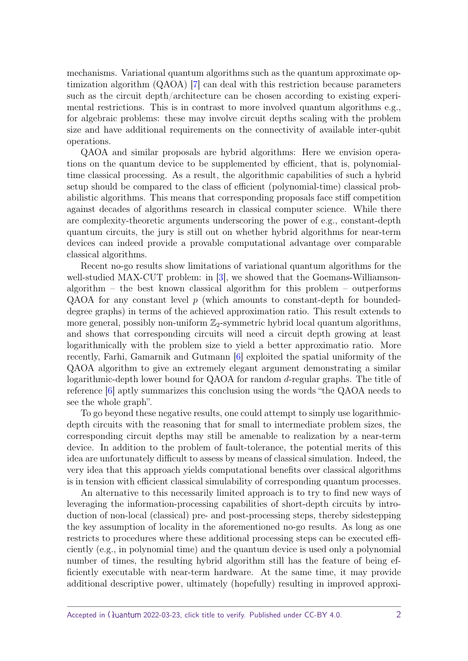mechanisms. Variational quantum algorithms such as the quantum approximate optimization algorithm (QAOA) [\[7\]](#page-25-0) can deal with this restriction because parameters such as the circuit depth/architecture can be chosen according to existing experimental restrictions. This is in contrast to more involved quantum algorithms e.g., for algebraic problems: these may involve circuit depths scaling with the problem size and have additional requirements on the connectivity of available inter-qubit operations.

QAOA and similar proposals are hybrid algorithms: Here we envision operations on the quantum device to be supplemented by efficient, that is, polynomialtime classical processing. As a result, the algorithmic capabilities of such a hybrid setup should be compared to the class of efficient (polynomial-time) classical probabilistic algorithms. This means that corresponding proposals face stiff competition against decades of algorithms research in classical computer science. While there are complexity-theoretic arguments underscoring the power of e.g., constant-depth quantum circuits, the jury is still out on whether hybrid algorithms for near-term devices can indeed provide a provable computational advantage over comparable classical algorithms.

Recent no-go results show limitations of variational quantum algorithms for the well-studied MAX-CUT problem: in [\[3\]](#page-24-0), we showed that the Goemans-Williamsonalgorithm – the best known classical algorithm for this problem – outperforms QAOA for any constant level *p* (which amounts to constant-depth for boundeddegree graphs) in terms of the achieved approximation ratio. This result extends to more general, possibly non-uniform  $\mathbb{Z}_2$ -symmetric hybrid local quantum algorithms, and shows that corresponding circuits will need a circuit depth growing at least logarithmically with the problem size to yield a better approximatio ratio. More recently, Farhi, Gamarnik and Gutmann [\[6\]](#page-25-1) exploited the spatial uniformity of the QAOA algorithm to give an extremely elegant argument demonstrating a similar logarithmic-depth lower bound for QAOA for random *d*-regular graphs. The title of reference [\[6\]](#page-25-1) aptly summarizes this conclusion using the words "the QAOA needs to see the whole graph".

To go beyond these negative results, one could attempt to simply use logarithmicdepth circuits with the reasoning that for small to intermediate problem sizes, the corresponding circuit depths may still be amenable to realization by a near-term device. In addition to the problem of fault-tolerance, the potential merits of this idea are unfortunately difficult to assess by means of classical simulation. Indeed, the very idea that this approach yields computational benefits over classical algorithms is in tension with efficient classical simulability of corresponding quantum processes.

An alternative to this necessarily limited approach is to try to find new ways of leveraging the information-processing capabilities of short-depth circuits by introduction of non-local (classical) pre- and post-processing steps, thereby sidestepping the key assumption of locality in the aforementioned no-go results. As long as one restricts to procedures where these additional processing steps can be executed efficiently (e.g., in polynomial time) and the quantum device is used only a polynomial number of times, the resulting hybrid algorithm still has the feature of being efficiently executable with near-term hardware. At the same time, it may provide additional descriptive power, ultimately (hopefully) resulting in improved approxi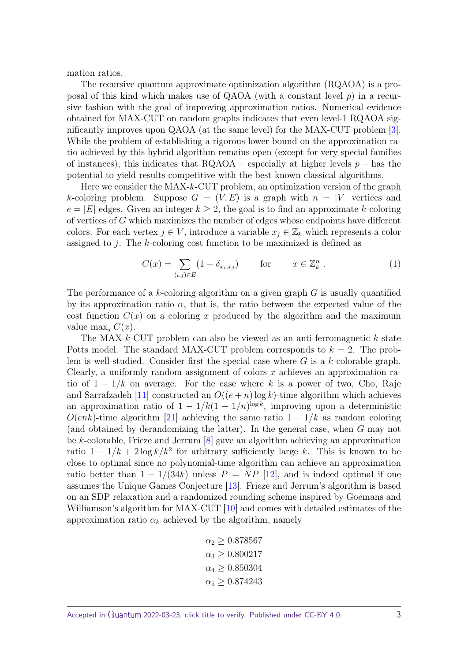mation ratios.

The recursive quantum approximate optimization algorithm (RQAOA) is a proposal of this kind which makes use of QAOA (with a constant level *p*) in a recursive fashion with the goal of improving approximation ratios. Numerical evidence obtained for MAX-CUT on random graphs indicates that even level-1 RQAOA significantly improves upon QAOA (at the same level) for the MAX-CUT problem [\[3\]](#page-24-0). While the problem of establishing a rigorous lower bound on the approximation ratio achieved by this hybrid algorithm remains open (except for very special families of instances), this indicates that RQAOA – especially at higher levels *p* – has the potential to yield results competitive with the best known classical algorithms.

Here we consider the MAX-*k*-CUT problem, an optimization version of the graph *k*-coloring problem. Suppose  $G = (V, E)$  is a graph with  $n = |V|$  vertices and  $e = |E|$  edges. Given an integer  $k \geq 2$ , the goal is to find an approximate *k*-coloring of vertices of *G* which maximizes the number of edges whose endpoints have different colors. For each vertex  $j \in V$ , introduce a variable  $x_j \in \mathbb{Z}_k$  which represents a color assigned to *j*. The *k*-coloring cost function to be maximized is defined as

<span id="page-2-0"></span>
$$
C(x) = \sum_{(i,j)\in E} (1 - \delta_{x_i, x_j}) \quad \text{for} \quad x \in \mathbb{Z}_k^n \ . \tag{1}
$$

The performance of a *k*-coloring algorithm on a given graph *G* is usually quantified by its approximation ratio  $\alpha$ , that is, the ratio between the expected value of the cost function  $C(x)$  on a coloring x produced by the algorithm and the maximum value  $\max_x C(x)$ .

The MAX-*k*-CUT problem can also be viewed as an anti-ferromagnetic *k*-state Potts model. The standard MAX-CUT problem corresponds to  $k = 2$ . The problem is well-studied. Consider first the special case where *G* is a *k*-colorable graph. Clearly, a uniformly random assignment of colors *x* achieves an approximation ratio of 1 − 1*/k* on average. For the case where *k* is a power of two, Cho, Raje and Sarrafzadeh [\[11\]](#page-25-2) constructed an  $O((e+n) \log k)$ -time algorithm which achieves an approximation ratio of  $1 - 1/k(1 - 1/n)^{\log k}$ , improving upon a deterministic *O*(*enk*)-time algorithm [\[21\]](#page-26-0) achieving the same ratio  $1 - 1/k$  as random coloring (and obtained by derandomizing the latter). In the general case, when *G* may not be *k*-colorable, Frieze and Jerrum [\[8\]](#page-25-3) gave an algorithm achieving an approximation ratio  $1 - 1/k + 2 \log k/k^2$  for arbitrary sufficiently large k. This is known to be close to optimal since no polynomial-time algorithm can achieve an approximation ratio better than  $1 - 1/(34k)$  unless  $P = NP$  [\[12\]](#page-25-4), and is indeed optimal if one assumes the Unique Games Conjecture [\[13\]](#page-25-5). Frieze and Jerrum's algorithm is based on an SDP relaxation and a randomized rounding scheme inspired by Goemans and Williamson's algorithm for MAX-CUT [\[10\]](#page-25-6) and comes with detailed estimates of the approximation ratio  $\alpha_k$  achieved by the algorithm, namely

$$
\alpha_2 \ge 0.878567
$$
  
\n
$$
\alpha_3 \ge 0.800217
$$
  
\n
$$
\alpha_4 \ge 0.850304
$$
  
\n
$$
\alpha_5 \ge 0.874243
$$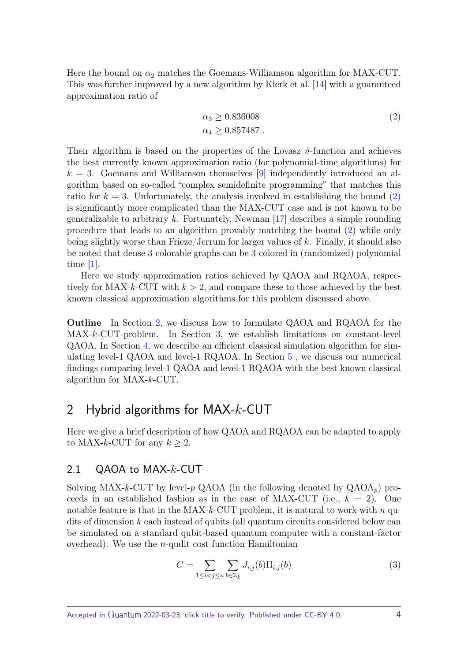Here the bound on  $\alpha_2$  matches the Goemans-Williamson algorithm for MAX-CUT. This was further improved by a new algorithm by Klerk et al. [\[14\]](#page-25-7) with a guaranteed approximation ratio of

<span id="page-3-0"></span>
$$
\alpha_3 \ge 0.836008
$$
  
\n
$$
\alpha_4 \ge 0.857487
$$
 (2)

Their algorithm is based on the properties of the Lovasz  $\vartheta$ -function and achieves the best currently known approximation ratio (for polynomial-time algorithms) for  $k = 3$ . Goemans and Williamson themselves [\[9\]](#page-25-8) independently introduced an algorithm based on so-called "complex semidefinite programming" that matches this ratio for  $k = 3$ . Unfortunately, the analysis involved in establishing the bound  $(2)$ is significantly more complicated than the MAX-CUT case and is not known to be generalizable to arbitrary *k*. Fortunately, Newman [\[17\]](#page-26-1) describes a simple rounding procedure that leads to an algorithm provably matching the bound [\(2\)](#page-3-0) while only being slightly worse than Frieze/Jerrum for larger values of *k*. Finally, it should also be noted that dense 3-colorable graphs can be 3-colored in (randomized) polynomial time [\[1\]](#page-24-1).

Here we study approximation ratios achieved by QAOA and RQAOA, respectively for MAX- $k$ -CUT with  $k > 2$ , and compare these to those achieved by the best known classical approximation algorithms for this problem discussed above.

**Outline** In Section [2,](#page-3-1) we discuss how to formulate QAOA and RQAOA for the MAX-*k*-CUT-problem. In Section [3,](#page-6-0) we establish limitations on constant-level QAOA. In Section [4,](#page-10-0) we describe an efficient classical simulation algorithm for simulating level-1 QAOA and level-1 RQAOA. In Section [5](#page-15-0) , we discuss our numerical findings comparing level-1 QAOA and level-1 RQAOA with the best known classical algorithm for MAX-*k*-CUT.

# <span id="page-3-1"></span>2 Hybrid algorithms for MAX-*k*-CUT

Here we give a brief description of how QAOA and RQAOA can be adapted to apply to MAX-k-CUT for any  $k \geq 2$ .

#### 2.1 QAOA to MAX-*k*-CUT

Solving MAX- $k$ -CUT by level- $p$  QAOA (in the following denoted by  $QAOA_p$ ) proceeds in an established fashion as in the case of MAX-CUT (i.e.,  $k = 2$ ). One notable feature is that in the MAX-*k*-CUT problem, it is natural to work with *n* qudits of dimension *k* each instead of qubits (all quantum circuits considered below can be simulated on a standard qubit-based quantum computer with a constant-factor overhead). We use the *n*-qudit cost function Hamiltonian

<span id="page-3-2"></span>
$$
C = \sum_{1 \le i < j \le n} \sum_{b \in \mathbb{Z}_k} J_{i,j}(b) \Pi_{i,j}(b) \tag{3}
$$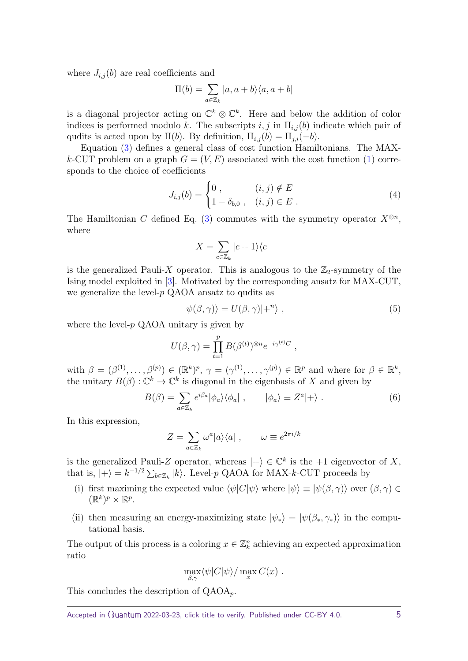where  $J_{i,j}(b)$  are real coefficients and

$$
\Pi(b) = \sum_{a \in \mathbb{Z}_k} |a, a+b\rangle\langle a, a+b|
$$

is a diagonal projector acting on  $\mathbb{C}^k \otimes \mathbb{C}^k$ . Here and below the addition of color indices is performed modulo *k*. The subscripts  $i, j$  in  $\Pi_{i,j}(b)$  indicate which pair of qudits is acted upon by  $\Pi(b)$ . By definition,  $\Pi_{i,j}(b) = \Pi_{j,i}(-b)$ .

Equation [\(3\)](#page-3-2) defines a general class of cost function Hamiltonians. The MAX*k*-CUT problem on a graph  $G = (V, E)$  associated with the cost function [\(1\)](#page-2-0) corresponds to the choice of coefficients

$$
J_{i,j}(b) = \begin{cases} 0, & (i,j) \notin E \\ 1 - \delta_{b,0}, & (i,j) \in E \end{cases}
$$
 (4)

The Hamiltonian *C* defined Eq. [\(3\)](#page-3-2) commutes with the symmetry operator  $X^{\otimes n}$ , where

<span id="page-4-2"></span><span id="page-4-1"></span>
$$
X=\sum_{c\in\mathbb{Z}_k}|c+1\rangle\langle c|
$$

is the generalized Pauli-X operator. This is analogous to the  $\mathbb{Z}_2$ -symmetry of the Ising model exploited in [\[3\]](#page-24-0). Motivated by the corresponding ansatz for MAX-CUT, we generalize the level-*p* QAOA ansatz to qudits as

<span id="page-4-3"></span>
$$
|\psi(\beta,\gamma)\rangle = U(\beta,\gamma)|+^{n}\rangle , \qquad (5)
$$

where the level-*p* QAOA unitary is given by

$$
U(\beta, \gamma) = \prod_{t=1}^{p} B(\beta^{(t)})^{\otimes n} e^{-i\gamma^{(t)}C},
$$

with  $\beta = (\beta^{(1)}, \ldots, \beta^{(p)}) \in (\mathbb{R}^k)^p$ ,  $\gamma = (\gamma^{(1)}, \ldots, \gamma^{(p)}) \in \mathbb{R}^p$  and where for  $\beta \in \mathbb{R}^k$ , the unitary  $B(\beta)$ :  $\mathbb{C}^k \to \mathbb{C}^k$  is diagonal in the eigenbasis of *X* and given by

$$
B(\beta) = \sum_{a \in \mathbb{Z}_k} e^{i\beta_a} |\phi_a\rangle\langle\phi_a| \ , \qquad |\phi_a\rangle \equiv Z^a|+\rangle \ . \tag{6}
$$

In this expression,

$$
Z = \sum_{a \in \mathbb{Z}_k} \omega^a |a\rangle\langle a| \ , \qquad \omega \equiv e^{2\pi i/k}
$$

is the generalized Pauli-Z operator, whereas  $|+\rangle \in \mathbb{C}^k$  is the +1 eigenvector of X, that is,  $|+\rangle = k^{-1/2} \sum_{b \in \mathbb{Z}_k} |k\rangle$ . Level-*p* QAOA for MAX-*k*-CUT proceeds by

- <span id="page-4-0"></span>(i) first maximing the expected value  $\langle \psi | C | \psi \rangle$  where  $| \psi \rangle \equiv | \psi ( \beta, \gamma) \rangle$  over  $( \beta, \gamma) \in$  $(\mathbb{R}^k)^p \times \mathbb{R}^p$ .
- (ii) then measuring an energy-maximizing state  $|\psi_*\rangle = |\psi(\beta_*, \gamma_*)\rangle$  in the computational basis.

The output of this process is a coloring  $x \in \mathbb{Z}_k^n$  achieving an expected approximation ratio

$$
\max_{\beta,\gamma} \langle \psi | C | \psi \rangle / \max_x C(x) .
$$

This concludes the description of QAOA*p*.

Accepted in 
$$
\langle \lambda \rangle
$$
uantum 2022-03-23, click title to verify. Published under CC-BY 4.0.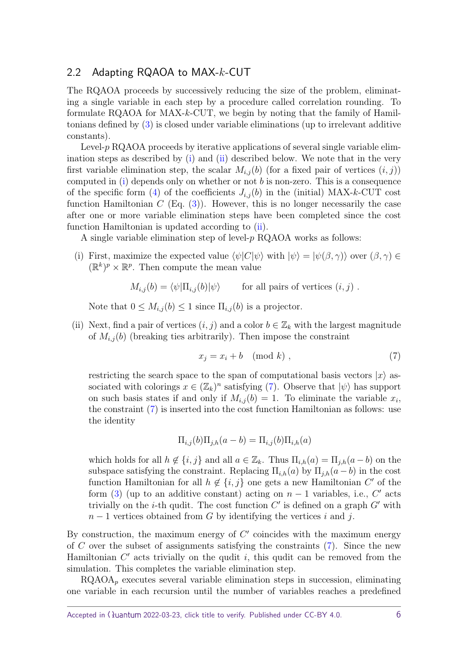#### 2.2 Adapting RQAOA to MAX-*k*-CUT

The RQAOA proceeds by successively reducing the size of the problem, eliminating a single variable in each step by a procedure called correlation rounding. To formulate RQAOA for MAX-*k*-CUT, we begin by noting that the family of Hamiltonians defined by [\(3\)](#page-3-2) is closed under variable eliminations (up to irrelevant additive constants).

Level-*p* RQAOA proceeds by iterative applications of several single variable elimination steps as described by [\(i\)](#page-4-0) and [\(ii\)](#page-5-0) described below. We note that in the very first variable elimination step, the scalar  $M_{i,j}(b)$  (for a fixed pair of vertices  $(i, j)$ ) computed in [\(i\)](#page-4-0) depends only on whether or not *b* is non-zero. This is a consequence of the specific form [\(4\)](#page-4-1) of the coefficients  $J_{i,j}(b)$  in the (initial) MAX-k-CUT cost function Hamiltonian  $C$  (Eq.  $(3)$ ). However, this is no longer necessarily the case after one or more variable elimination steps have been completed since the cost function Hamiltonian is updated according to [\(ii\)](#page-5-0).

A single variable elimination step of level-*p* RQAOA works as follows:

(i) First, maximize the expected value  $\langle \psi | C | \psi \rangle$  with  $| \psi \rangle = | \psi ( \beta, \gamma) \rangle$  over  $( \beta, \gamma) \in$  $(\mathbb{R}^k)^p \times \mathbb{R}^p$ . Then compute the mean value

$$
M_{i,j}(b) = \langle \psi | \Pi_{i,j}(b) | \psi \rangle
$$
 for all pairs of vertices  $(i, j)$ .

Note that  $0 \leq M_{i,j}(b) \leq 1$  since  $\Pi_{i,j}(b)$  is a projector.

<span id="page-5-0"></span>(ii) Next, find a pair of vertices  $(i, j)$  and a color  $b \in \mathbb{Z}_k$  with the largest magnitude of  $M_{i,j}(b)$  (breaking ties arbitrarily). Then impose the constraint

<span id="page-5-1"></span>
$$
x_j = x_i + b \pmod{k},\tag{7}
$$

restricting the search space to the span of computational basis vectors  $|x\rangle$  associated with colorings  $x \in (\mathbb{Z}_k)^n$  satisfying [\(7\)](#page-5-1). Observe that  $|\psi\rangle$  has support on such basis states if and only if  $M_{i,j}(b) = 1$ . To eliminate the variable  $x_i$ , the constraint  $(7)$  is inserted into the cost function Hamiltonian as follows: use the identity

$$
\Pi_{i,j}(b)\Pi_{j,h}(a-b) = \Pi_{i,j}(b)\Pi_{i,h}(a)
$$

which holds for all  $h \notin \{i, j\}$  and all  $a \in \mathbb{Z}_k$ . Thus  $\Pi_{i,h}(a) = \Pi_{i,h}(a - b)$  on the subspace satisfying the constraint. Replacing  $\Pi_{i,h}(a)$  by  $\Pi_{j,h}(a-b)$  in the cost function Hamiltonian for all  $h \notin \{i, j\}$  one gets a new Hamiltonian  $C'$  of the form [\(3\)](#page-3-2) (up to an additive constant) acting on  $n-1$  variables, i.e.,  $C'$  acts trivially on the *i*-th qudit. The cost function  $C'$  is defined on a graph  $G'$  with *n* − 1 vertices obtained from *G* by identifying the vertices *i* and *j*.

By construction, the maximum energy of  $C<sup>′</sup>$  coincides with the maximum energy of *C* over the subset of assignments satisfying the constraints [\(7\)](#page-5-1). Since the new Hamiltonian  $C'$  acts trivially on the qudit  $i$ , this qudit can be removed from the simulation. This completes the variable elimination step.

 $RQAOA<sub>p</sub>$  executes several variable elimination steps in succession, eliminating one variable in each recursion until the number of variables reaches a predefined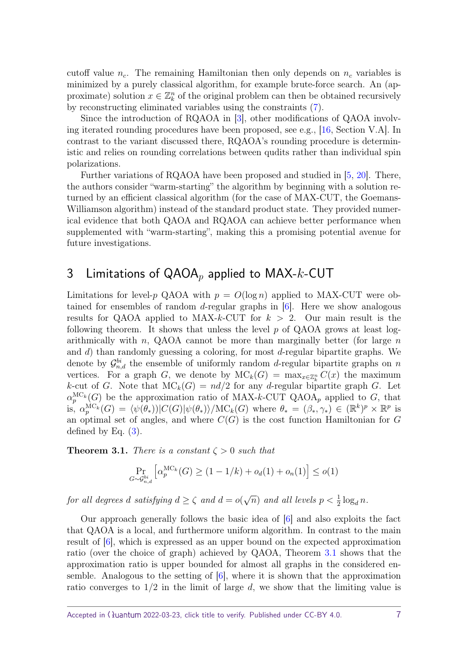cutoff value  $n_c$ . The remaining Hamiltonian then only depends on  $n_c$  variables is minimized by a purely classical algorithm, for example brute-force search. An (approximate) solution  $x \in \mathbb{Z}_k^n$  of the original problem can then be obtained recursively by reconstructing eliminated variables using the constraints [\(7\)](#page-5-1).

Since the introduction of RQAOA in [\[3\]](#page-24-0), other modifications of QAOA involving iterated rounding procedures have been proposed, see e.g., [\[16,](#page-26-2) Section V.A]. In contrast to the variant discussed there, RQAOA's rounding procedure is deterministic and relies on rounding correlations between qudits rather than individual spin polarizations.

Further variations of RQAOA have been proposed and studied in [\[5,](#page-25-9) [20\]](#page-26-3). There, the authors consider "warm-starting" the algorithm by beginning with a solution returned by an efficient classical algorithm (for the case of MAX-CUT, the Goemans-Williamson algorithm) instead of the standard product state. They provided numerical evidence that both QAOA and RQAOA can achieve better performance when supplemented with "warm-starting", making this a promising potential avenue for future investigations.

# <span id="page-6-0"></span>3 Limitations of QAOA*<sup>p</sup>* applied to MAX-*k*-CUT

Limitations for level-*p* QAOA with  $p = O(\log n)$  applied to MAX-CUT were obtained for ensembles of random *d*-regular graphs in [\[6\]](#page-25-1). Here we show analogous results for QAOA applied to MAX-*k*-CUT for *k >* 2. Our main result is the following theorem. It shows that unless the level *p* of QAOA grows at least logarithmically with *n*, QAOA cannot be more than marginally better (for large *n* and *d*) than randomly guessing a coloring, for most *d*-regular bipartite graphs. We denote by  $\mathcal{G}_{n,d}^{bi}$  the ensemble of uniformly random *d*-regular bipartite graphs on *n* vertices. For a graph *G*, we denote by  $MC_k(G) = \max_{x \in \mathbb{Z}_k^n} C(x)$  the maximum *k*-cut of *G*. Note that  $MC_k(G) = nd/2$  for any *d*-regular bipartite graph *G*. Let  $\alpha_p^{\text{MC}_k}(G)$  be the approximation ratio of MAX-*k*-CUT QAOA<sub>*p*</sub> applied to *G*, that  $\int_{0}^{R} \alpha_p^{\text{MC}_k}(G) = \langle \psi(\theta_*) \rangle |C(G)|\psi(\theta_*)\rangle / \text{MC}_k(G)$  where  $\theta_* = (\beta_*, \gamma_*) \in (\mathbb{R}^k)^p \times \mathbb{R}^p$  is an optimal set of angles, and where  $C(G)$  is the cost function Hamiltonian for  $G$ defined by Eq.  $(3)$ .

<span id="page-6-1"></span>**Theorem 3.1.** *There is a constant*  $\zeta > 0$  *such that* 

$$
\Pr_{G \sim \mathcal{G}_{n,d}^{bi}} \left[ \alpha_p^{MC_k}(G) \ge (1 - 1/k) + o_d(1) + o_n(1) \right] \le o(1)
$$

*for all degrees d satisfying*  $d \geq \zeta$  *and*  $d = o$  $\sqrt{n}$  and all levels  $p < \frac{1}{2} \log_d n$ .

Our approach generally follows the basic idea of [\[6\]](#page-25-1) and also exploits the fact that QAOA is a local, and furthermore uniform algorithm. In contrast to the main result of [\[6\]](#page-25-1), which is expressed as an upper bound on the expected approximation ratio (over the choice of graph) achieved by QAOA, Theorem [3.1](#page-6-1) shows that the approximation ratio is upper bounded for almost all graphs in the considered ensemble. Analogous to the setting of [\[6\]](#page-25-1), where it is shown that the approximation ratio converges to 1*/*2 in the limit of large *d*, we show that the limiting value is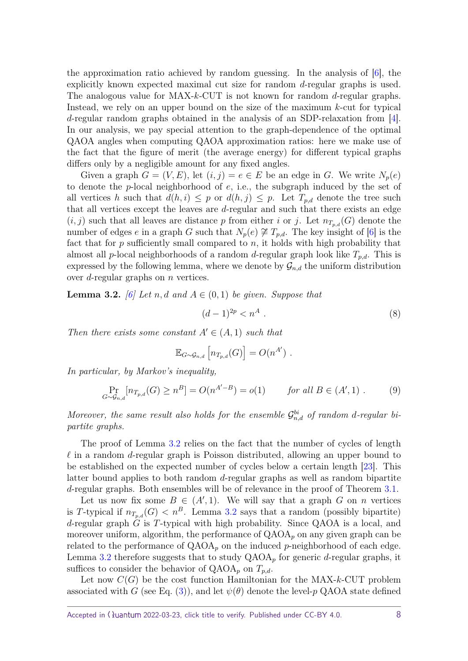the approximation ratio achieved by random guessing. In the analysis of [\[6\]](#page-25-1), the explicitly known expected maximal cut size for random *d*-regular graphs is used. The analogous value for MAX-*k*-CUT is not known for random *d*-regular graphs. Instead, we rely on an upper bound on the size of the maximum *k*-cut for typical *d*-regular random graphs obtained in the analysis of an SDP-relaxation from [\[4\]](#page-25-10). In our analysis, we pay special attention to the graph-dependence of the optimal QAOA angles when computing QAOA approximation ratios: here we make use of the fact that the figure of merit (the average energy) for different typical graphs differs only by a negligible amount for any fixed angles.

Given a graph  $G = (V, E)$ , let  $(i, j) = e \in E$  be an edge in *G*. We write  $N_p(e)$ to denote the *p*-local neighborhood of *e*, i.e., the subgraph induced by the set of all vertices *h* such that  $d(h, i) \leq p$  or  $d(h, j) \leq p$ . Let  $T_{p,d}$  denote the tree such that all vertices except the leaves are *d*-regular and such that there exists an edge  $(i, j)$  such that all leaves are distance p from either i or j. Let  $n_{T_n,d}(G)$  denote the number of edges *e* in a graph *G* such that  $N_p(e) \ncong T_{p,d}$ . The key insight of [\[6\]](#page-25-1) is the fact that for *p* sufficiently small compared to *n*, it holds with high probability that almost all *p*-local neighborhoods of a random *d*-regular graph look like *Tp,d*. This is expressed by the following lemma, where we denote by  $\mathcal{G}_{n,d}$  the uniform distribution over *d*-regular graphs on *n* vertices.

<span id="page-7-0"></span>**Lemma 3.2.** *[\[6\]](#page-25-1)* Let *n, d* and  $A \in (0,1)$  be given. Suppose that

<span id="page-7-2"></span><span id="page-7-1"></span>
$$
(d-1)^{2p} < n^A \tag{8}
$$

*Then there exists some constant*  $A' \in (A, 1)$  *such that* 

$$
\mathbb{E}_{G \sim \mathcal{G}_{n,d}} \left[ n_{T_{p,d}}(G) \right] = O(n^{A'}) .
$$

*In particular, by Markov's inequality,*

$$
\Pr_{G \sim \mathcal{G}_{n,d}}[n_{T_{p,d}}(G) \ge n^B] = O(n^{A'-B}) = o(1) \quad \text{for all } B \in (A', 1) .
$$
 (9)

*Moreover, the same result also holds for the ensemble*  $\mathcal{G}_{n,d}^{bi}$  *of random d-regular bipartite graphs.*

The proof of Lemma [3.2](#page-7-0) relies on the fact that the number of cycles of length  $\ell$  in a random *d*-regular graph is Poisson distributed, allowing an upper bound to be established on the expected number of cycles below a certain length [\[23\]](#page-26-4). This latter bound applies to both random *d*-regular graphs as well as random bipartite *d*-regular graphs. Both ensembles will be of relevance in the proof of Theorem [3.1.](#page-6-1)

Let us now fix some  $B \in (A', 1)$ . We will say that a graph *G* on *n* vertices is *T*-typical if  $n_{T_n,d}(G) < n^B$ . Lemma [3.2](#page-7-0) says that a random (possibly bipartite) *d*-regular graph *G* is *T*-typical with high probability. Since QAOA is a local, and moreover uniform, algorithm, the performance of  $QAOA<sub>p</sub>$  on any given graph can be related to the performance of  $QAOA_p$  on the induced *p*-neighborhood of each edge. Lemma [3.2](#page-7-0) therefore suggests that to study  $QAOA<sub>p</sub>$  for generic *d*-regular graphs, it suffices to consider the behavior of  $QAOA_p$  on  $T_{p,d}$ .

Let now  $C(G)$  be the cost function Hamiltonian for the MAX- $k$ -CUT problem associated with *G* (see Eq. [\(3\)](#page-3-2)), and let  $\psi(\theta)$  denote the level-*p* QAOA state defined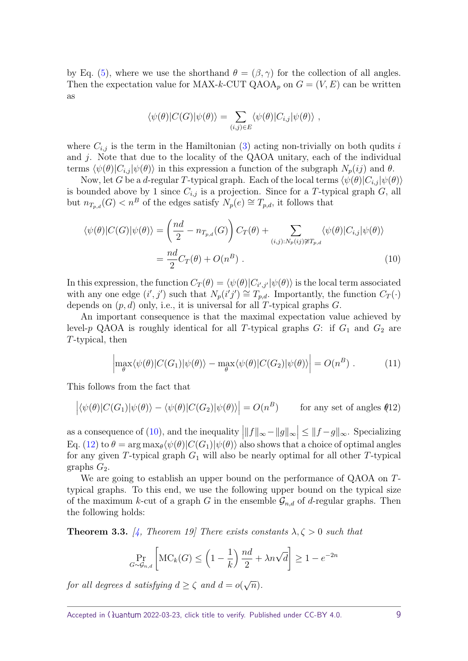by Eq. [\(5\)](#page-4-2), where we use the shorthand  $\theta = (\beta, \gamma)$  for the collection of all angles. Then the expectation value for MAX-*k*-CUT QAOA<sub>p</sub> on  $G = (V, E)$  can be written as

<span id="page-8-0"></span>
$$
\langle \psi(\theta)|C(G)|\psi(\theta)\rangle = \sum_{(i,j)\in E} \langle \psi(\theta)|C_{i,j}|\psi(\theta)\rangle,
$$

where  $C_{i,j}$  is the term in the Hamiltonian [\(3\)](#page-3-2) acting non-trivially on both qudits *i* and *j*. Note that due to the locality of the QAOA unitary, each of the individual terms  $\langle \psi(\theta)|C_{i,j}|\psi(\theta)\rangle$  in this expression a function of the subgraph  $N_p(ij)$  and  $\theta$ .

Now, let *G* be a *d*-regular *T*-typical graph. Each of the local terms  $\langle \psi(\theta)|C_{i,j}|\psi(\theta)\rangle$ is bounded above by 1 since  $C_{i,j}$  is a projection. Since for a T-typical graph  $G$ , all but  $n_{T_p,d}(G) < n^B$  of the edges satisfy  $N_p(e) \cong T_{p,d}$ , it follows that

$$
\langle \psi(\theta)|C(G)|\psi(\theta)\rangle = \left(\frac{nd}{2} - n_{T_{p,d}}(G)\right)C_T(\theta) + \sum_{(i,j):N_p(i,j)\not\cong T_{p,d}} \langle \psi(\theta)|C_{i,j}|\psi(\theta)\rangle
$$

$$
= \frac{nd}{2}C_T(\theta) + O(n^B) \ . \tag{10}
$$

In this expression, the function  $C_T(\theta) = \langle \psi(\theta) | C_{i',j'} | \psi(\theta) \rangle$  is the local term associated with any one edge  $(i', j')$  such that  $N_p(i'j') \cong T_{p,d}$ . Importantly, the function  $C_T(\cdot)$ depends on (*p, d*) only, i.e., it is universal for all *T*-typical graphs *G*.

An important consequence is that the maximal expectation value achieved by level-*p* QAOA is roughly identical for all T-typical graphs  $G$ : if  $G_1$  and  $G_2$  are *T*-typical, then

<span id="page-8-3"></span><span id="page-8-1"></span>
$$
\left| \max_{\theta} \langle \psi(\theta) | C(G_1) | \psi(\theta) \rangle - \max_{\theta} \langle \psi(\theta) | C(G_2) | \psi(\theta) \rangle \right| = O(n^B) \ . \tag{11}
$$

This follows from the fact that

$$
\left| \langle \psi(\theta) | C(G_1) | \psi(\theta) \rangle - \langle \psi(\theta) | C(G_2) | \psi(\theta) \rangle \right| = O(n^B) \quad \text{for any set of angles (12)}
$$

as a consequence of [\(10\)](#page-8-0), and the inequality  $|||f||_{\infty} - ||g||_{\infty}| \le ||f - g||_{\infty}$ . Specializing Eq. [\(12\)](#page-8-1) to  $\theta = \arg \max_{\theta} \langle \psi(\theta) | C(G_1) | \psi(\theta) \rangle$  also shows that a choice of optimal angles for any given *T*-typical graph *G*<sup>1</sup> will also be nearly optimal for all other *T*-typical graphs  $G_2$ .

We are going to establish an upper bound on the performance of QAOA on *T*typical graphs. To this end, we use the following upper bound on the typical size of the maximum *k*-cut of a graph *G* in the ensemble  $\mathcal{G}_{n,d}$  of *d*-regular graphs. Then the following holds:

<span id="page-8-2"></span>**Theorem 3.3.** [\[4,](#page-25-10) Theorem 19] There exists constants  $\lambda, \zeta > 0$  such that

$$
\Pr_{G \sim \mathcal{G}_{n,d}} \left[ \text{MC}_k(G) \le \left( 1 - \frac{1}{k} \right) \frac{nd}{2} + \lambda n \sqrt{d} \right] \ge 1 - e^{-2n}
$$

*for all degrees d satisfying*  $d \geq \zeta$  *and*  $d = o$ √ *n*)*.*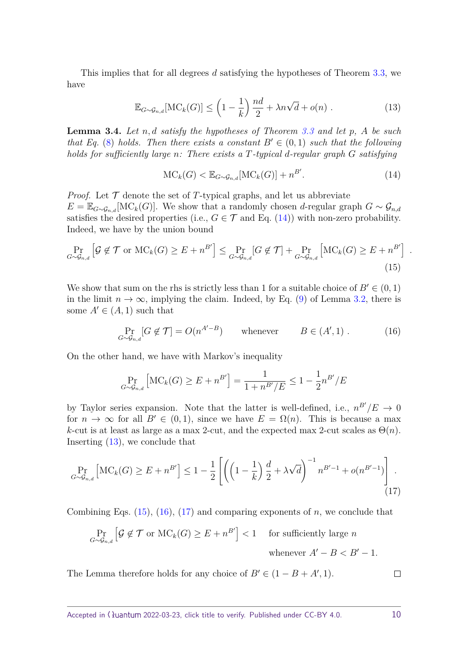This implies that for all degrees *d* satisfying the hypotheses of Theorem [3.3,](#page-8-2) we have

$$
\mathbb{E}_{G \sim \mathcal{G}_{n,d}}[\text{MC}_k(G)] \le \left(1 - \frac{1}{k}\right) \frac{nd}{2} + \lambda n \sqrt{d} + o(n) \ . \tag{13}
$$

<span id="page-9-5"></span>**Lemma 3.4.** *Let n, d satisfy the hypotheses of Theorem [3.3](#page-8-2) and let p, A be such that Eq.* [\(8\)](#page-7-1) *holds. Then there exists a constant*  $B' \in (0,1)$  *such that the following holds for sufficiently large n: There exists a T-typical d-regular graph G satisfying*

$$
\mathrm{MC}_k(G) < \mathbb{E}_{G \sim \mathcal{G}_{n,d}}[\mathrm{MC}_k(G)] + n^{B'}.\tag{14}
$$

*Proof.* Let  $\mathcal T$  denote the set of T-typical graphs, and let us abbreviate  $E = \mathbb{E}_{G \sim \mathcal{G}_{n,d}}[\text{MC}_k(G)]$ . We show that a randomly chosen *d*-regular graph  $G \sim \mathcal{G}_{n,d}$ satisfies the desired properties (i.e.,  $G \in \mathcal{T}$  and Eq. [\(14\)](#page-9-0)) with non-zero probability. Indeed, we have by the union bound

$$
\Pr_{G \sim \mathcal{G}_{n,d}} \left[ \mathcal{G} \notin \mathcal{T} \text{ or } \mathrm{MC}_k(G) \ge E + n^{B'} \right] \le \Pr_{G \sim \mathcal{G}_{n,d}} [G \notin \mathcal{T}] + \Pr_{G \sim \mathcal{G}_{n,d}} \left[ \mathrm{MC}_k(G) \ge E + n^{B'} \right] \tag{15}
$$

We show that sum on the rhs is strictly less than 1 for a suitable choice of  $B' \in (0, 1)$ in the limit  $n \to \infty$ , implying the claim. Indeed, by Eq. [\(9\)](#page-7-2) of Lemma [3.2,](#page-7-0) there is some  $A' \in (A, 1)$  such that

$$
\Pr_{G \sim \mathcal{G}_{n,d}}[G \notin \mathcal{T}] = O(n^{A'-B}) \qquad \text{whenever} \qquad B \in (A', 1) \; . \tag{16}
$$

On the other hand, we have with Markov's inequality

$$
\Pr_{G \sim \mathcal{G}_{n,d}} \left[ \mathrm{MC}_k(G) \ge E + n^{B'} \right] = \frac{1}{1 + n^{B'} / E} \le 1 - \frac{1}{2} n^{B'} / E
$$

by Taylor series expansion. Note that the latter is well-defined, i.e.,  $n^{B'}/E \rightarrow 0$ for  $n \to \infty$  for all  $B' \in (0,1)$ , since we have  $E = \Omega(n)$ . This is because a max *k*-cut is at least as large as a max 2-cut, and the expected max 2-cut scales as  $\Theta(n)$ . Inserting [\(13\)](#page-9-1), we conclude that

$$
\Pr_{G \sim \mathcal{G}_{n,d}} \left[ \mathrm{MC}_k(G) \ge E + n^{B'} \right] \le 1 - \frac{1}{2} \left[ \left( \left( 1 - \frac{1}{k} \right) \frac{d}{2} + \lambda \sqrt{d} \right)^{-1} n^{B'-1} + o(n^{B'-1}) \right]. \tag{17}
$$

Combining Eqs. [\(15\)](#page-9-2), [\(16\)](#page-9-3), [\(17\)](#page-9-4) and comparing exponents of *n*, we conclude that

$$
\Pr_{G \sim \mathcal{G}_{n,d}} \left[ \mathcal{G} \notin \mathcal{T} \text{ or } \mathrm{MC}_k(G) \ge E + n^{B'} \right] < 1 \quad \text{ for sufficiently large } n
$$
\nwhenever  $A' - B < B' - 1$ .

The Lemma therefore holds for any choice of  $B' \in (1 - B + A', 1)$ .

<span id="page-9-4"></span> $\Box$ 

<span id="page-9-3"></span><span id="page-9-2"></span><span id="page-9-1"></span><span id="page-9-0"></span>*.*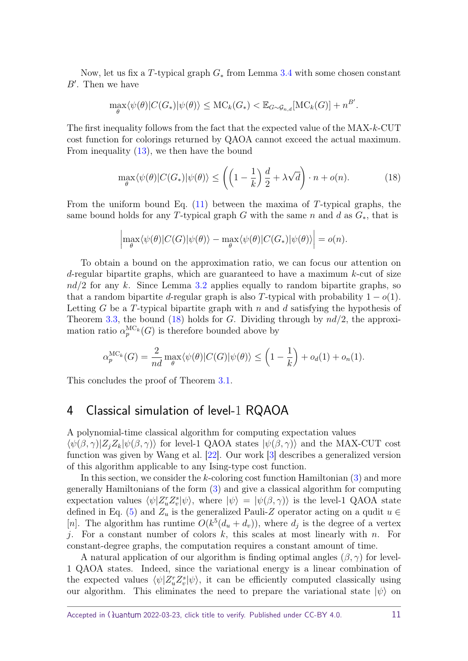Now, let us fix a *T*-typical graph *G*<sup>∗</sup> from Lemma [3.4](#page-9-5) with some chosen constant  $B'$ . Then we have

$$
\max_{\theta} \langle \psi(\theta) | C(G_*) | \psi(\theta) \rangle \leq \text{MC}_k(G_*) < \mathbb{E}_{G \sim \mathcal{G}_{n,d}}[\text{MC}_k(G)] + n^{B'}.
$$

The first inequality follows from the fact that the expected value of the MAX-*k*-CUT cost function for colorings returned by QAOA cannot exceed the actual maximum. From inequality  $(13)$ , we then have the bound

<span id="page-10-1"></span>
$$
\max_{\theta} \langle \psi(\theta) | C(G_*) | \psi(\theta) \rangle \le \left( \left( 1 - \frac{1}{k} \right) \frac{d}{2} + \lambda \sqrt{d} \right) \cdot n + o(n). \tag{18}
$$

From the uniform bound Eq. [\(11\)](#page-8-3) between the maxima of *T*-typical graphs, the same bound holds for any *T*-typical graph *G* with the same *n* and *d* as *G*∗, that is

$$
\left| \max_{\theta} \langle \psi(\theta) | C(G) | \psi(\theta) \rangle - \max_{\theta} \langle \psi(\theta) | C(G_{*}) | \psi(\theta) \rangle \right| = o(n).
$$

To obtain a bound on the approximation ratio, we can focus our attention on *d*-regular bipartite graphs, which are guaranteed to have a maximum *k*-cut of size *nd/*2 for any *k*. Since Lemma [3.2](#page-7-0) applies equally to random bipartite graphs, so that a random bipartite *d*-regular graph is also *T*-typical with probability  $1 - o(1)$ . Letting *G* be a *T*-typical bipartite graph with *n* and *d* satisfying the hypothesis of Theorem [3.3,](#page-8-2) the bound [\(18\)](#page-10-1) holds for *G*. Dividing through by *nd/*2, the approximation ratio  $\alpha_p^{MC_k}(G)$  is therefore bounded above by

$$
\alpha_p^{\text{MC}_k}(G) = \frac{2}{nd} \max_{\theta} \langle \psi(\theta) | C(G) | \psi(\theta) \rangle \leq \left(1 - \frac{1}{k}\right) + o_d(1) + o_n(1).
$$

This concludes the proof of Theorem [3.1.](#page-6-1)

# <span id="page-10-0"></span>4 Classical simulation of level-1 RQAOA

A polynomial-time classical algorithm for computing expectation values  $\langle \psi(\beta, \gamma)|Z_iZ_k|\psi(\beta, \gamma)\rangle$  for level-1 QAOA states  $|\psi(\beta, \gamma)\rangle$  and the MAX-CUT cost function was given by Wang et al. [\[22\]](#page-26-5). Our work [\[3\]](#page-24-0) describes a generalized version of this algorithm applicable to any Ising-type cost function.

In this section, we consider the *k*-coloring cost function Hamiltonian [\(3\)](#page-3-2) and more generally Hamiltonians of the form [\(3\)](#page-3-2) and give a classical algorithm for computing expectation values  $\langle \psi | Z_u^r Z_v^s | \psi \rangle$ , where  $|\psi \rangle = |\psi(\beta, \gamma) \rangle$  is the level-1 QAOA state defined in Eq. [\(5\)](#page-4-2) and  $Z_u$  is the generalized Pauli-Z operator acting on a qudit  $u \in$ [*n*]. The algorithm has runtime  $O(k^5(d_u + d_v))$ , where  $d_j$  is the degree of a vertex *j*. For a constant number of colors *k*, this scales at most linearly with *n*. For constant-degree graphs, the computation requires a constant amount of time.

A natural application of our algorithm is finding optimal angles  $(\beta, \gamma)$  for level-1 QAOA states. Indeed, since the variational energy is a linear combination of the expected values  $\langle \psi | Z_u^r Z_v^s | \psi \rangle$ , it can be efficiently computed classically using our algorithm. This eliminates the need to prepare the variational state  $|\psi\rangle$  on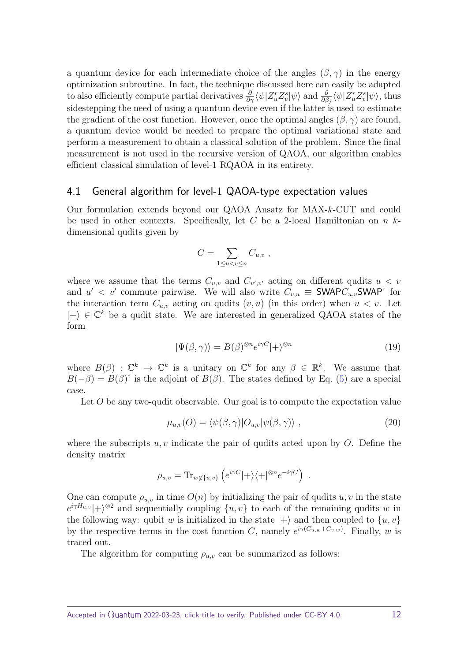a quantum device for each intermediate choice of the angles  $(\beta, \gamma)$  in the energy optimization subroutine. In fact, the technique discussed here can easily be adapted to also efficiently compute partial derivatives  $\frac{\partial}{\partial \gamma} \langle \psi | Z_u^r Z_v^s | \psi \rangle$  and  $\frac{\partial}{\partial \beta_j} \langle \psi | Z_u^r Z_v^s | \psi \rangle$ , thus sidestepping the need of using a quantum device even if the latter is used to estimate the gradient of the cost function. However, once the optimal angles  $(\beta, \gamma)$  are found, a quantum device would be needed to prepare the optimal variational state and perform a measurement to obtain a classical solution of the problem. Since the final measurement is not used in the recursive version of QAOA, our algorithm enables efficient classical simulation of level-1 RQAOA in its entirety.

#### <span id="page-11-2"></span>4.1 General algorithm for level-1 QAOA-type expectation values

Our formulation extends beyond our QAOA Ansatz for MAX-*k*-CUT and could be used in other contexts. Specifically, let *C* be a 2-local Hamiltonian on *n k*dimensional qudits given by

<span id="page-11-0"></span>
$$
C=\sum_{1\leq u
$$

where we assume that the terms  $C_{u,v}$  and  $C_{u',v'}$  acting on different qudits  $u < v$ and  $u' < v'$  commute pairwise. We will also write  $C_{v,u} \equiv \textsf{SWAPC}_{u,v} \textsf{SWAP}^{\dagger}$  for the interaction term  $C_{u,v}$  acting on qudits  $(v, u)$  (in this order) when  $u < v$ . Let  $|+\rangle \in \mathbb{C}^k$  be a qudit state. We are interested in generalized QAOA states of the form

$$
|\Psi(\beta,\gamma)\rangle = B(\beta)^{\otimes n} e^{i\gamma C} |+\rangle^{\otimes n}
$$
\n(19)

where  $B(\beta)$ :  $\mathbb{C}^k \to \mathbb{C}^k$  is a unitary on  $\mathbb{C}^k$  for any  $\beta \in \mathbb{R}^k$ . We assume that  $B(-\beta) = B(\beta)^\dagger$  is the adjoint of  $B(\beta)$ . The states defined by Eq. [\(5\)](#page-4-2) are a special case.

Let O be any two-qudit observable. Our goal is to compute the expectation value

<span id="page-11-1"></span>
$$
\mu_{u,v}(O) = \langle \psi(\beta, \gamma) | O_{u,v} | \psi(\beta, \gamma) \rangle , \qquad (20)
$$

where the subscripts  $u, v$  indicate the pair of qudits acted upon by  $O$ . Define the density matrix

$$
\rho_{u,v} = \text{Tr}_{w \notin \{u,v\}} \left( e^{i\gamma C} |+\rangle \langle +|^{\otimes n} e^{-i\gamma C} \right) .
$$

One can compute  $\rho_{u,v}$  in time  $O(n)$  by initializing the pair of qudits  $u, v$  in the state  $e^{i\gamma H_{u,v}}$  +  $\rho^{\otimes 2}$  and sequentially coupling  $\{u, v\}$  to each of the remaining qudits *w* in the following way: qubit *w* is initialized in the state  $|+\rangle$  and then coupled to  $\{u, v\}$ by the respective terms in the cost function *C*, namely  $e^{i\gamma (C_{u,w}+C_{v,w})}$ . Finally, *w* is traced out.

The algorithm for computing  $\rho_{u,v}$  can be summarized as follows: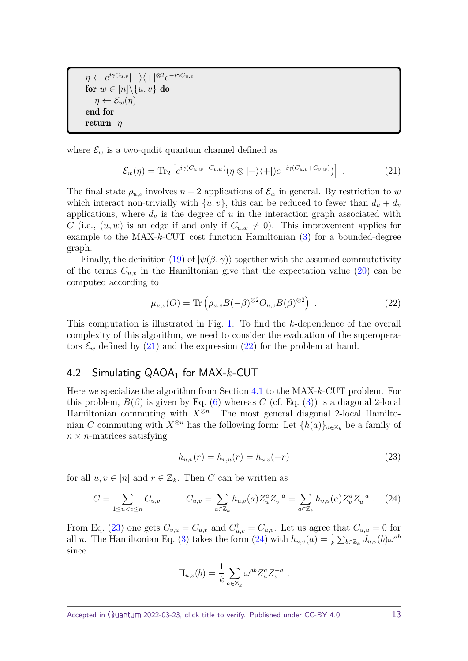$\eta \leftarrow e^{i\gamma C_{u,v}} \left| + \right\rangle \left\langle +\right|^{\otimes 2} e^{-i\gamma C_{u,v}}$ for  $w \in [n] \backslash \{u, v\}$  do  $\eta \leftarrow \mathcal{E}_w(\eta)$ end for return *η*

where  $\mathcal{E}_w$  is a two-qudit quantum channel defined as

<span id="page-12-0"></span>
$$
\mathcal{E}_w(\eta) = \text{Tr}_2 \left[ e^{i\gamma (C_{u,w} + C_{v,w})} (\eta \otimes |+\rangle \langle +|) e^{-i\gamma (C_{u,v} + C_{v,w})} \rangle \right] \tag{21}
$$

The final state  $\rho_{u,v}$  involves  $n-2$  applications of  $\mathcal{E}_w$  in general. By restriction to *w* which interact non-trivially with  $\{u, v\}$ , this can be reduced to fewer than  $d_u + d_v$ applications, where  $d_u$  is the degree of  $u$  in the interaction graph associated with *C* (i.e.,  $(u, w)$  is an edge if and only if  $C_{u,w} \neq 0$ ). This improvement applies for example to the MAX-*k*-CUT cost function Hamiltonian [\(3\)](#page-3-2) for a bounded-degree graph.

Finally, the definition [\(19\)](#page-11-0) of  $|\psi(\beta, \gamma)\rangle$  together with the assumed commutativity of the terms  $C_{u,v}$  in the Hamiltonian give that the expectation value  $(20)$  can be computed according to

<span id="page-12-1"></span>
$$
\mu_{u,v}(O) = \text{Tr}\left(\rho_{u,v}B(-\beta)^{\otimes 2}O_{u,v}B(\beta)^{\otimes 2}\right) \tag{22}
$$

This computation is illustrated in Fig. [1.](#page-13-0) To find the *k*-dependence of the overall complexity of this algorithm, we need to consider the evaluation of the superoperators  $\mathcal{E}_w$  defined by [\(21\)](#page-12-0) and the expression [\(22\)](#page-12-1) for the problem at hand.

# 4.2 Simulating QAOA<sub>1</sub> for MAX-k-CUT

Here we specialize the algorithm from Section [4.1](#page-11-2) to the MAX-*k*-CUT problem. For this problem,  $B(\beta)$  is given by Eq. [\(6\)](#page-4-3) whereas *C* (cf. Eq. [\(3\)](#page-3-2)) is a diagonal 2-local Hamiltonian commuting with  $X^{\otimes n}$ . The most general diagonal 2-local Hamiltonian *C* commuting with  $X^{\otimes n}$  has the following form: Let  $\{h(a)\}_{a\in\mathbb{Z}_k}$  be a family of  $n \times n$ -matrices satisfying

<span id="page-12-3"></span><span id="page-12-2"></span>
$$
\overline{h_{u,v}(r)} = h_{v,u}(r) = h_{u,v}(-r)
$$
\n(23)

for all  $u, v \in [n]$  and  $r \in \mathbb{Z}_k$ . Then *C* can be written as

$$
C = \sum_{1 \le u < v \le n} C_{u,v} \;, \qquad C_{u,v} = \sum_{a \in \mathbb{Z}_k} h_{u,v}(a) Z_u^a Z_v^{-a} = \sum_{a \in \mathbb{Z}_k} h_{v,u}(a) Z_v^a Z_u^{-a} \; . \tag{24}
$$

From Eq. [\(23\)](#page-12-2) one gets  $C_{v,u} = C_{u,v}$  and  $C_{u,v}^{\dagger} = C_{u,v}$ . Let us agree that  $C_{u,u} = 0$  for all *u*. The Hamiltonian Eq. [\(3\)](#page-3-2) takes the form [\(24\)](#page-12-3) with  $h_{u,v}(a) = \frac{1}{k} \sum_{b \in \mathbb{Z}_k} J_{u,v}(b) \omega^{ab}$ since

$$
\Pi_{u,v}(b) = \frac{1}{k} \sum_{a \in \mathbb{Z}_k} \omega^{ab} Z_u^a Z_v^{-a} .
$$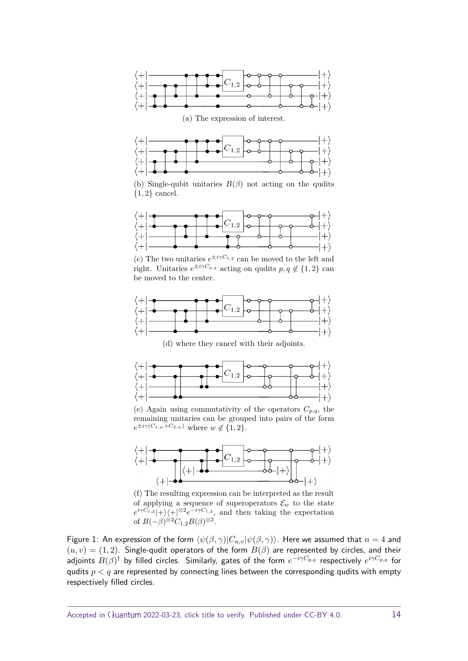<span id="page-13-0"></span>



(b) Single-qubit unitaries  $B(\beta)$  not acting on the qudits {1*,* 2} cancel.



(c) The two unitaries  $e^{\pm i\gamma C_{1,2}}$  can be moved to the left and right. Unitaries  $e^{\pm i\gamma C_{p,q}}$  acting on qudits  $p, q \notin \{1, 2\}$  can be moved to the center.



(d) where they cancel with their adjoints.



(e) Again using commutativity of the operators  $C_{p,q}$ , the remaining unitaries can be grouped into pairs of the form  $e^{\pm i\gamma (C_{1,w} + C_{2,w})}$  where  $w \notin \{1,2\}.$ 



(f) The resulting expression can be interpreted as the result of applying a sequence of superoperators  $\mathcal{E}_w$  to the state  $e^{i\gamma C_{1,2}}$  +  $\rangle$  +  $\mid$   $\otimes$   $e^{-i\gamma C_{1,2}}$ , and then taking the expectation of  $B(-\beta)^{\otimes 2}C_{1,2}B(\beta)^{\otimes 2}$ .

Figure 1: An expression of the form  $\langle \psi(\beta, \gamma)|C_{u,v}|\psi(\beta, \gamma)\rangle$ . Here we assumed that  $n = 4$  and  $(u, v) = (1, 2)$ . Single-qudit operators of the form  $B(\beta)$  are represented by circles, and their adjoints *B*(*β*) † by filled circles. Similarly, gates of the form *e* <sup>−</sup>*iγCp,q* respectively *e iγCp,q* for qudits  $p < q$  are represented by connecting lines between the corresponding qudits with empty respectively filled circles.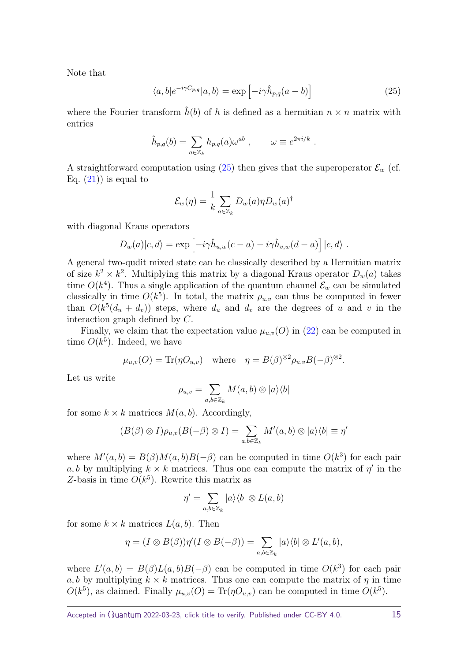Note that

<span id="page-14-0"></span>
$$
\langle a, b | e^{-i\gamma C_{p,q}} | a, b \rangle = \exp \left[ -i\gamma \hat{h}_{p,q}(a-b) \right]
$$
 (25)

where the Fourier transform  $\hat{h}(b)$  of h is defined as a hermitian  $n \times n$  matrix with entries

$$
\hat{h}_{p,q}(b) = \sum_{a \in \mathbb{Z}_k} h_{p,q}(a) \omega^{ab} , \qquad \omega \equiv e^{2\pi i/k} .
$$

A straightforward computation using  $(25)$  then gives that the superoperator  $\mathcal{E}_w$  (cf. Eq.  $(21)$  is equal to

$$
\mathcal{E}_w(\eta) = \frac{1}{k} \sum_{a \in \mathbb{Z}_k} D_w(a) \eta D_w(a)^\dagger
$$

with diagonal Kraus operators

$$
D_w(a)|c,d\rangle = \exp \left[-i\gamma \hat{h}_{u,w}(c-a) - i\gamma \hat{h}_{v,w}(d-a)\right]|c,d\rangle.
$$

A general two-qudit mixed state can be classically described by a Hermitian matrix of size  $k^2 \times k^2$ . Multiplying this matrix by a diagonal Kraus operator  $D_w(a)$  takes time  $O(k^4)$ . Thus a single application of the quantum channel  $\mathcal{E}_w$  can be simulated classically in time  $O(k^5)$ . In total, the matrix  $\rho_{u,v}$  can thus be computed in fewer than  $O(k^5(d_u + d_v))$  steps, where  $d_u$  and  $d_v$  are the degrees of *u* and *v* in the interaction graph defined by *C*.

Finally, we claim that the expectation value  $\mu_{u,v}(O)$  in [\(22\)](#page-12-1) can be computed in time  $O(k^5)$ . Indeed, we have

$$
\mu_{u,v}(O) = \text{Tr}(\eta O_{u,v})
$$
 where  $\eta = B(\beta)^{\otimes 2} \rho_{u,v} B(-\beta)^{\otimes 2}$ .

Let us write

$$
\rho_{u,v} = \sum_{a,b \in \mathbb{Z}_k} M(a,b) \otimes |a\rangle\langle b|
$$

for some  $k \times k$  matrices  $M(a, b)$ . Accordingly,

$$
(B(\beta) \otimes I)\rho_{u,v}(B(-\beta) \otimes I) = \sum_{a,b \in \mathbb{Z}_k} M'(a,b) \otimes |a\rangle\langle b| \equiv \eta'
$$

where  $M'(a, b) = B(\beta)M(a, b)B(-\beta)$  can be computed in time  $O(k^3)$  for each pair  $a, b$  by multiplying  $k \times k$  matrices. Thus one can compute the matrix of  $\eta'$  in the Z-basis in time  $O(k^5)$ . Rewrite this matrix as

$$
\eta' = \sum_{a,b \in \mathbb{Z}_k} |a\rangle\langle b| \otimes L(a,b)
$$

for some  $k \times k$  matrices  $L(a, b)$ . Then

$$
\eta = (I \otimes B(\beta))\eta'(I \otimes B(-\beta)) = \sum_{a,b \in \mathbb{Z}_k} |a\rangle\langle b| \otimes L'(a,b),
$$

where  $L'(a, b) = B(\beta)L(a, b)B(-\beta)$  can be computed in time  $O(k^3)$  for each pair  $a, b$  by multiplying  $k \times k$  matrices. Thus one can compute the matrix of  $\eta$  in time  $O(k^5)$ , as claimed. Finally  $\mu_{u,v}(O) = \text{Tr}(\eta O_{u,v})$  can be computed in time  $O(k^5)$ .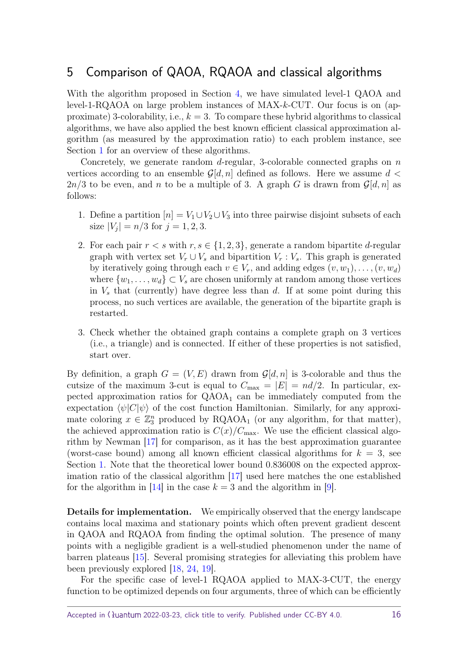# <span id="page-15-0"></span>5 Comparison of QAOA, RQAOA and classical algorithms

With the algorithm proposed in Section [4,](#page-10-0) we have simulated level-1 QAOA and level-1-RQAOA on large problem instances of MAX-*k*-CUT. Our focus is on (approximate) 3-colorability, i.e., *k* = 3. To compare these hybrid algorithms to classical algorithms, we have also applied the best known efficient classical approximation algorithm (as measured by the approximation ratio) to each problem instance, see Section [1](#page-0-0) for an overview of these algorithms.

Concretely, we generate random *d*-regular, 3-colorable connected graphs on *n* vertices according to an ensemble  $\mathcal{G}[d,n]$  defined as follows. Here we assume  $d \leq$  $2n/3$  to be even, and *n* to be a multiple of 3. A graph *G* is drawn from  $\mathcal{G}[d, n]$  as follows:

- 1. Define a partition  $[n] = V_1 \cup V_2 \cup V_3$  into three pairwise disjoint subsets of each size  $|V_j| = n/3$  for  $j = 1, 2, 3$ .
- 2. For each pair  $r < s$  with  $r, s \in \{1, 2, 3\}$ , generate a random bipartite *d*-regular graph with vertex set  $V_r \cup V_s$  and bipartition  $V_r : V_s$ . This graph is generated by iteratively going through each  $v \in V_r$ , and adding edges  $(v, w_1), \ldots, (v, w_d)$ where  $\{w_1, \ldots, w_d\} \subset V_s$  are chosen uniformly at random among those vertices in *V<sup>s</sup>* that (currently) have degree less than *d*. If at some point during this process, no such vertices are available, the generation of the bipartite graph is restarted.
- 3. Check whether the obtained graph contains a complete graph on 3 vertices (i.e., a triangle) and is connected. If either of these properties is not satisfied, start over.

By definition, a graph  $G = (V, E)$  drawn from  $\mathcal{G}[d, n]$  is 3-colorable and thus the cutsize of the maximum 3-cut is equal to  $C_{\text{max}} = |E| = nd/2$ . In particular, expected approximation ratios for  $QAOA<sub>1</sub>$  can be immediately computed from the expectation  $\langle \psi | C | \psi \rangle$  of the cost function Hamiltonian. Similarly, for any approximate coloring  $x \in \mathbb{Z}_3^n$  produced by RQAOA<sub>1</sub> (or any algorithm, for that matter), the achieved approximation ratio is  $C(x)/C_{\text{max}}$ . We use the efficient classical algorithm by Newman [\[17\]](#page-26-1) for comparison, as it has the best approximation guarantee (worst-case bound) among all known efficient classical algorithms for  $k = 3$ , see Section [1.](#page-0-0) Note that the theoretical lower bound 0*.*836008 on the expected approximation ratio of the classical algorithm [\[17\]](#page-26-1) used here matches the one established for the algorithm in [\[14\]](#page-25-7) in the case  $k = 3$  and the algorithm in [\[9\]](#page-25-8).

**Details for implementation.** We empirically observed that the energy landscape contains local maxima and stationary points which often prevent gradient descent in QAOA and RQAOA from finding the optimal solution. The presence of many points with a negligible gradient is a well-studied phenomenon under the name of barren plateaus [\[15\]](#page-25-11). Several promising strategies for alleviating this problem have been previously explored [\[18,](#page-26-6) [24,](#page-26-7) [19\]](#page-26-8).

For the specific case of level-1 RQAOA applied to MAX-3-CUT, the energy function to be optimized depends on four arguments, three of which can be efficiently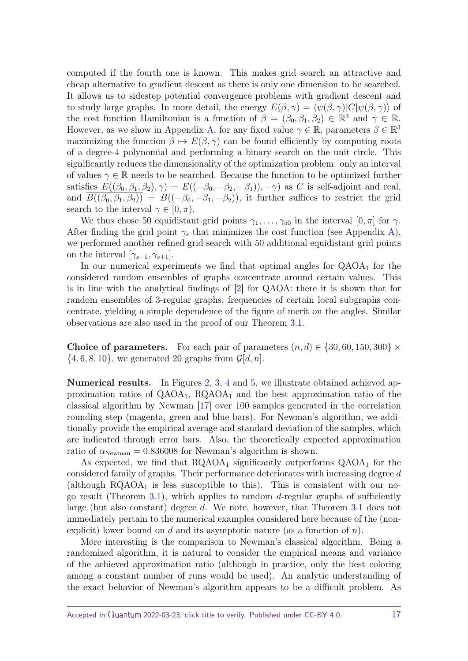computed if the fourth one is known. This makes grid search an attractive and cheap alternative to gradient descent as there is only one dimension to be searched. It allows us to sidestep potential convergence problems with gradient descent and to study large graphs. In more detail, the energy  $E(\beta, \gamma) = \langle \psi(\beta, \gamma) | C | \psi(\beta, \gamma) \rangle$  of the cost function Hamiltonian is a function of  $\beta = (\beta_0, \beta_1, \beta_2) \in \mathbb{R}^3$  and  $\gamma \in \mathbb{R}$ . However, as we show in Appendix [A,](#page-23-0) for any fixed value  $\gamma \in \mathbb{R}$ , parameters  $\beta \in \mathbb{R}^3$ maximizing the function  $\beta \mapsto E(\beta, \gamma)$  can be found efficiently by computing roots of a degree-4 polynomial and performing a binary search on the unit circle. This significantly reduces the dimensionality of the optimization problem: only an interval of values  $\gamma \in \mathbb{R}$  needs to be searched. Because the function to be optimized further satisfies  $E((\beta_0, \beta_1, \beta_2), \gamma) = E((-\beta_0, -\beta_2, -\beta_1)), -\gamma)$  as *C* is self-adjoint and real, and  $\overline{B((\beta_0, \beta_1, \beta_2))} = B((-\beta_0, -\beta_1, -\beta_2))$ , it further suffices to restrict the grid search to the interval  $\gamma \in [0, \pi)$ .

We thus chose 50 equidistant grid points  $\gamma_1, \ldots, \gamma_{50}$  in the interval  $[0, \pi]$  for  $\gamma$ . After finding the grid point  $\gamma_s$  that minimizes the cost function (see Appendix [A\)](#page-23-0), we performed another refined grid search with 50 additional equidistant grid points on the interval  $[\gamma_{s-1}, \gamma_{s+1}].$ 

In our numerical experiments we find that optimal angles for  $QAOA<sub>1</sub>$  for the considered random ensembles of graphs concentrate around certain values. This is in line with the analytical findings of [\[2\]](#page-24-2) for QAOA: there it is shown that for random ensembles of 3-regular graphs, frequencies of certain local subgraphs concentrate, yielding a simple dependence of the figure of merit on the angles. Similar observations are also used in the proof of our Theorem [3.1.](#page-6-1)

**Choice of parameters.** For each pair of parameters  $(n, d) \in \{30, 60, 150, 300\} \times$  $\{4, 6, 8, 10\}$ , we generated 20 graphs from  $\mathcal{G}[d, n]$ .

**Numerical results.** In Figures [2,](#page-18-0) [3,](#page-19-0) [4](#page-20-0) and [5,](#page-21-0) we illustrate obtained achieved approximation ratios of  $QAOA<sub>1</sub>$ ,  $RQAOA<sub>1</sub>$  and the best approximation ratio of the classical algorithm by Newman [\[17\]](#page-26-1) over 100 samples generated in the correlation rounding step (magenta, green and blue bars). For Newman's algorithm, we additionally provide the empirical average and standard deviation of the samples, which are indicated through error bars. Also, the theoretically expected approximation ratio of  $\alpha_{\text{Newman}} = 0.836008$  for Newman's algorithm is shown.

As expected, we find that  $RQAOA<sub>1</sub>$  significantly outperforms  $QAOA<sub>1</sub>$  for the considered family of graphs. Their performance deteriorates with increasing degree *d* (although  $RQAOA<sub>1</sub>$  is less susceptible to this). This is consistent with our nogo result (Theorem [3.1\)](#page-6-1), which applies to random *d*-regular graphs of sufficiently large (but also constant) degree *d*. We note, however, that Theorem [3.1](#page-6-1) does not immediately pertain to the numerical examples considered here because of the (nonexplicit) lower bound on *d* and its asymptotic nature (as a function of *n*).

More interesting is the comparison to Newman's classical algorithm. Being a randomized algorithm, it is natural to consider the empirical means and variance of the achieved approximation ratio (although in practice, only the best coloring among a constant number of runs would be used). An analytic understanding of the exact behavior of Newman's algorithm appears to be a difficult problem. As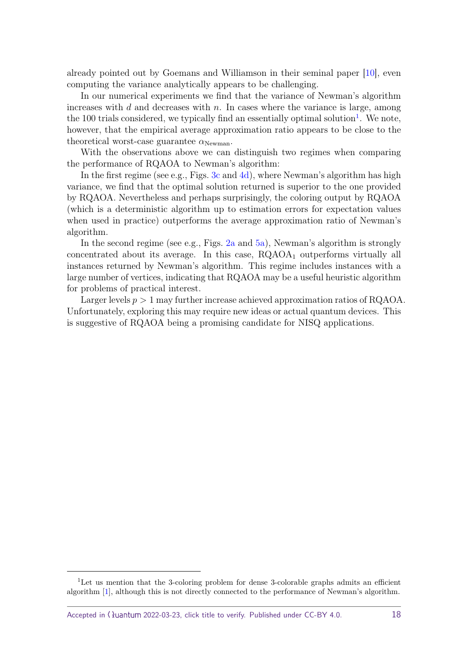already pointed out by Goemans and Williamson in their seminal paper [\[10\]](#page-25-6), even computing the variance analytically appears to be challenging.

In our numerical experiments we find that the variance of Newman's algorithm increases with *d* and decreases with *n*. In cases where the variance is large, among the [1](#page-17-0)00 trials considered, we typically find an essentially optimal solution<sup>1</sup>. We note, however, that the empirical average approximation ratio appears to be close to the theoretical worst-case guarantee  $\alpha_{\text{Newman}}$ .

With the observations above we can distinguish two regimes when comparing the performance of RQAOA to Newman's algorithm:

In the first regime (see e.g., Figs. [3c](#page-19-1) and [4d\)](#page-20-1), where Newman's algorithm has high variance, we find that the optimal solution returned is superior to the one provided by RQAOA. Nevertheless and perhaps surprisingly, the coloring output by RQAOA (which is a deterministic algorithm up to estimation errors for expectation values when used in practice) outperforms the average approximation ratio of Newman's algorithm.

In the second regime (see e.g., Figs.  $2a$  and  $5a$ ), Newman's algorithm is strongly concentrated about its average. In this case,  $RQAOA<sub>1</sub>$  outperforms virtually all instances returned by Newman's algorithm. This regime includes instances with a large number of vertices, indicating that RQAOA may be a useful heuristic algorithm for problems of practical interest.

Larger levels  $p > 1$  may further increase achieved approximation ratios of RQAOA. Unfortunately, exploring this may require new ideas or actual quantum devices. This is suggestive of RQAOA being a promising candidate for NISQ applications.

<span id="page-17-0"></span><sup>&</sup>lt;sup>1</sup>Let us mention that the 3-coloring problem for dense 3-colorable graphs admits an efficient algorithm [\[1\]](#page-24-1), although this is not directly connected to the performance of Newman's algorithm.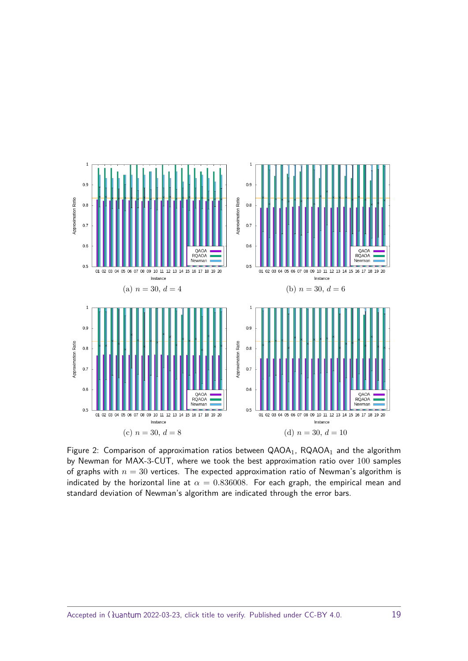<span id="page-18-1"></span><span id="page-18-0"></span>

Figure 2: Comparison of approximation ratios between  $QAOA<sub>1</sub>$ ,  $RQAOA<sub>1</sub>$  and the algorithm by Newman for MAX-3-CUT, where we took the best approximation ratio over 100 samples of graphs with  $n = 30$  vertices. The expected approximation ratio of Newman's algorithm is indicated by the horizontal line at  $\alpha = 0.836008$ . For each graph, the empirical mean and standard deviation of Newman's algorithm are indicated through the error bars.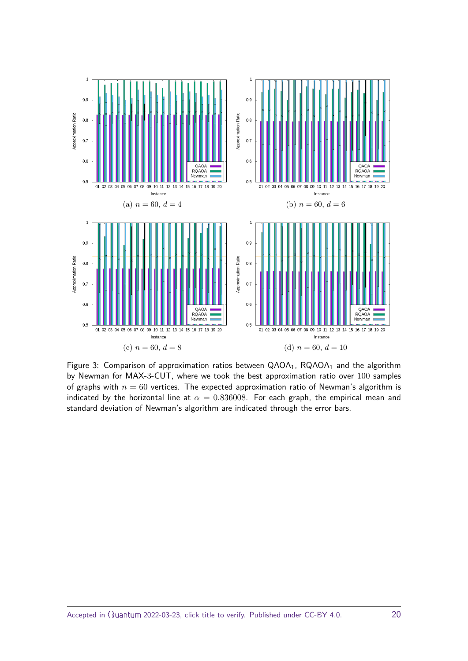<span id="page-19-1"></span><span id="page-19-0"></span>

Figure 3: Comparison of approximation ratios between  $QAOA<sub>1</sub>$ ,  $RQAOA<sub>1</sub>$  and the algorithm by Newman for MAX-3-CUT, where we took the best approximation ratio over 100 samples of graphs with  $n = 60$  vertices. The expected approximation ratio of Newman's algorithm is indicated by the horizontal line at  $\alpha = 0.836008$ . For each graph, the empirical mean and standard deviation of Newman's algorithm are indicated through the error bars.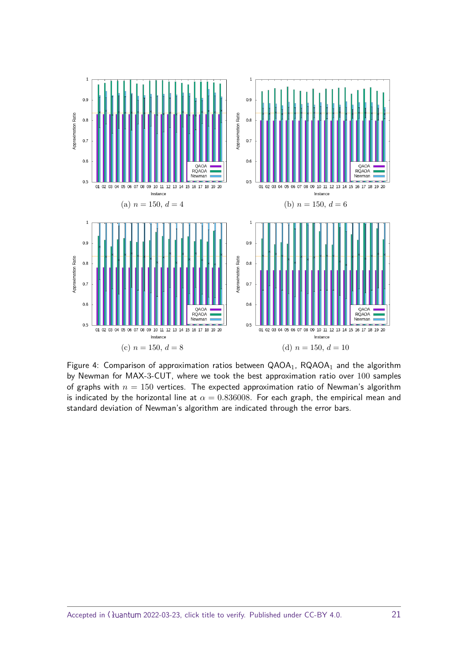<span id="page-20-0"></span>

<span id="page-20-1"></span>Figure 4: Comparison of approximation ratios between  $QAOA<sub>1</sub>$ ,  $RQAOA<sub>1</sub>$  and the algorithm by Newman for MAX-3-CUT, where we took the best approximation ratio over 100 samples of graphs with  $n = 150$  vertices. The expected approximation ratio of Newman's algorithm is indicated by the horizontal line at  $\alpha = 0.836008$ . For each graph, the empirical mean and standard deviation of Newman's algorithm are indicated through the error bars.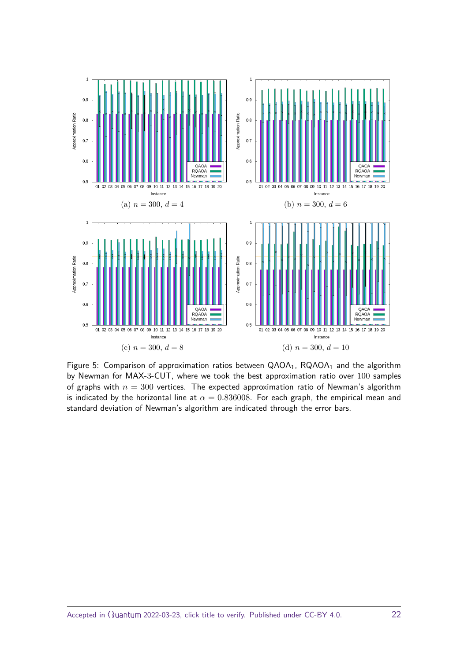<span id="page-21-1"></span><span id="page-21-0"></span>

Figure 5: Comparison of approximation ratios between  $QAOA<sub>1</sub>$ ,  $RQAOA<sub>1</sub>$  and the algorithm by Newman for MAX-3-CUT, where we took the best approximation ratio over 100 samples of graphs with  $n = 300$  vertices. The expected approximation ratio of Newman's algorithm is indicated by the horizontal line at  $\alpha = 0.836008$ . For each graph, the empirical mean and standard deviation of Newman's algorithm are indicated through the error bars.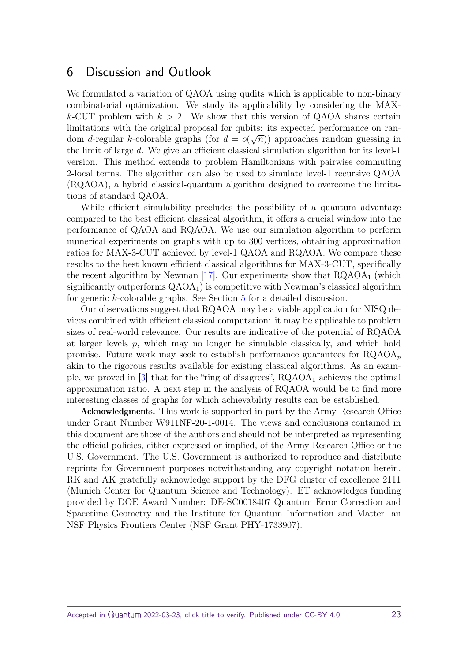## 6 Discussion and Outlook

We formulated a variation of QAOA using qudits which is applicable to non-binary combinatorial optimization. We study its applicability by considering the MAX $k$ -CUT problem with  $k > 2$ . We show that this version of QAOA shares certain limitations with the original proposal for qubits: its expected performance on random *d*-regular *k*-colorable graphs (for  $d = o(\sqrt{n})$ ) approaches random guessing in the limit of large *d*. We give an efficient classical simulation algorithm for its level-1 version. This method extends to problem Hamiltonians with pairwise commuting 2-local terms. The algorithm can also be used to simulate level-1 recursive QAOA (RQAOA), a hybrid classical-quantum algorithm designed to overcome the limitations of standard QAOA.

While efficient simulability precludes the possibility of a quantum advantage compared to the best efficient classical algorithm, it offers a crucial window into the performance of QAOA and RQAOA. We use our simulation algorithm to perform numerical experiments on graphs with up to 300 vertices, obtaining approximation ratios for MAX-3-CUT achieved by level-1 QAOA and RQAOA. We compare these results to the best known efficient classical algorithms for MAX-3-CUT, specifically the recent algorithm by Newman [\[17\]](#page-26-1). Our experiments show that  $RQAOA<sub>1</sub>$  (which significantly outperforms  $QAOA<sub>1</sub>$  is competitive with Newman's classical algorithm for generic *k*-colorable graphs. See Section [5](#page-15-0) for a detailed discussion.

Our observations suggest that RQAOA may be a viable application for NISQ devices combined with efficient classical computation: it may be applicable to problem sizes of real-world relevance. Our results are indicative of the potential of RQAOA at larger levels *p*, which may no longer be simulable classically, and which hold promise. Future work may seek to establish performance guarantees for RQAOA*<sup>p</sup>* akin to the rigorous results available for existing classical algorithms. As an example, we proved in  $[3]$  that for the "ring of disagrees",  $RQAOA<sub>1</sub>$  achieves the optimal approximation ratio. A next step in the analysis of RQAOA would be to find more interesting classes of graphs for which achievability results can be established.

Acknowledgments. This work is supported in part by the Army Research Office under Grant Number W911NF-20-1-0014. The views and conclusions contained in this document are those of the authors and should not be interpreted as representing the official policies, either expressed or implied, of the Army Research Office or the U.S. Government. The U.S. Government is authorized to reproduce and distribute reprints for Government purposes notwithstanding any copyright notation herein. RK and AK gratefully acknowledge support by the DFG cluster of excellence 2111 (Munich Center for Quantum Science and Technology). ET acknowledges funding provided by DOE Award Number: DE-SC0018407 Quantum Error Correction and Spacetime Geometry and the Institute for Quantum Information and Matter, an NSF Physics Frontiers Center (NSF Grant PHY-1733907).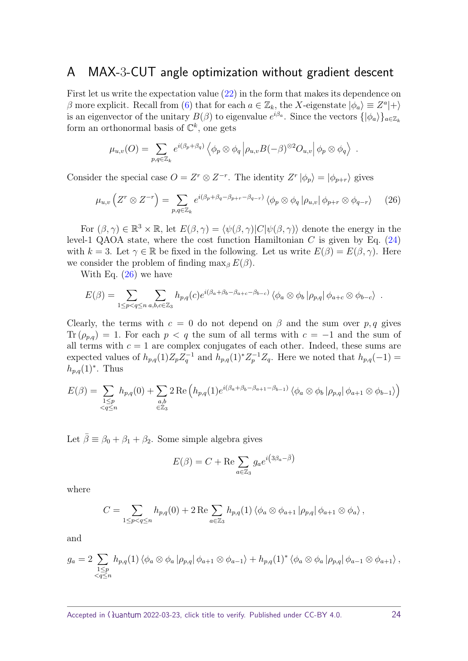## <span id="page-23-0"></span>A MAX-3-CUT angle optimization without gradient descent

First let us write the expectation value  $(22)$  in the form that makes its dependence on *β* more explicit. Recall from [\(6\)](#page-4-3) that for each  $a \in \mathbb{Z}_k$ , the *X*-eigenstate  $|\phi_a\rangle \equiv Z^a|+\rangle$ is an eigenvector of the unitary  $B(\beta)$  to eigenvalue  $e^{i\beta_a}$ . Since the vectors  $\{\ket{\phi_a}\}_{a \in \mathbb{Z}_k}$ form an orthonormal basis of  $\mathbb{C}^k$ , one gets

<span id="page-23-1"></span>
$$
\mu_{u,v}(O) = \sum_{p,q \in \mathbb{Z}_k} e^{i(\beta_p + \beta_q)} \left\langle \phi_p \otimes \phi_q \left| \rho_{u,v} B(-\beta)^{\otimes 2} O_{u,v} \right| \phi_p \otimes \phi_q \right\rangle .
$$

Consider the special case  $O = Z^r \otimes Z^{-r}$ . The identity  $Z^r | \phi_p \rangle = | \phi_{p+r} \rangle$  gives

$$
\mu_{u,v}\left(Z^r \otimes Z^{-r}\right) = \sum_{p,q \in \mathbb{Z}_k} e^{i(\beta_p + \beta_q - \beta_{p+r} - \beta_{q-r})} \left\langle \phi_p \otimes \phi_q \left| \rho_{u,v} \right| \phi_{p+r} \otimes \phi_{q-r} \right\rangle \tag{26}
$$

For  $(\beta, \gamma) \in \mathbb{R}^3 \times \mathbb{R}$ , let  $E(\beta, \gamma) = \langle \psi(\beta, \gamma) | C | \psi(\beta, \gamma) \rangle$  denote the energy in the level-1 QAOA state, where the cost function Hamiltonian  $C$  is given by Eq.  $(24)$ with  $k = 3$ . Let  $\gamma \in \mathbb{R}$  be fixed in the following. Let us write  $E(\beta) = E(\beta, \gamma)$ . Here we consider the problem of finding  $\max_{\beta} E(\beta)$ .

With Eq. [\(26\)](#page-23-1) we have

$$
E(\beta) = \sum_{1 \le p < q \le n} \sum_{a,b,c \in \mathbb{Z}_3} h_{p,q}(c) e^{i(\beta_a + \beta_b - \beta_{a+c} - \beta_{b-c})} \langle \phi_a \otimes \phi_b | \rho_{p,q} | \phi_{a+c} \otimes \phi_{b-c} \rangle .
$$

Clearly, the terms with  $c = 0$  do not depend on  $\beta$  and the sum over  $p, q$  gives Tr  $(\rho_{p,q}) = 1$ . For each  $p < q$  the sum of all terms with  $c = -1$  and the sum of all terms with  $c = 1$  are complex conjugates of each other. Indeed, these sums are expected values of  $h_{p,q}(1)Z_pZ_q^{-1}$  and  $h_{p,q}(1)^*Z_p^{-1}Z_q$ . Here we noted that  $h_{p,q}(-1)$  =  $h_{p,q}(1)$ <sup>\*</sup>. Thus

$$
E(\beta) = \sum_{\substack{1 \le p \\ < q \le n}} h_{p,q}(0) + \sum_{\substack{a,b \\ \in \mathbb{Z}_3}} 2 \operatorname{Re}\left(h_{p,q}(1)e^{i(\beta_a + \beta_b - \beta_{a+1} - \beta_{b-1})} \langle \phi_a \otimes \phi_b | \rho_{p,q} | \phi_{a+1} \otimes \phi_{b-1} \rangle \right)
$$

Let  $\bar{\beta} \equiv \beta_0 + \beta_1 + \beta_2$ . Some simple algebra gives

$$
E(\beta) = C + \text{Re} \sum_{a \in \mathbb{Z}_3} g_a e^{i \left( 3\beta_a - \bar{\beta} \right)}
$$

where

$$
C = \sum_{1 \le p < q \le n} h_{p,q}(0) + 2 \operatorname{Re} \sum_{a \in \mathbb{Z}_3} h_{p,q}(1) \langle \phi_a \otimes \phi_{a+1} | \rho_{p,q} | \phi_{a+1} \otimes \phi_a \rangle,
$$

and

$$
g_a = 2 \sum_{\substack{1 \leq p \\ \leq q \leq n}} h_{p,q}(1) \langle \phi_a \otimes \phi_a | \rho_{p,q} | \phi_{a+1} \otimes \phi_{a-1} \rangle + h_{p,q}(1)^* \langle \phi_a \otimes \phi_a | \rho_{p,q} | \phi_{a-1} \otimes \phi_{a+1} \rangle,
$$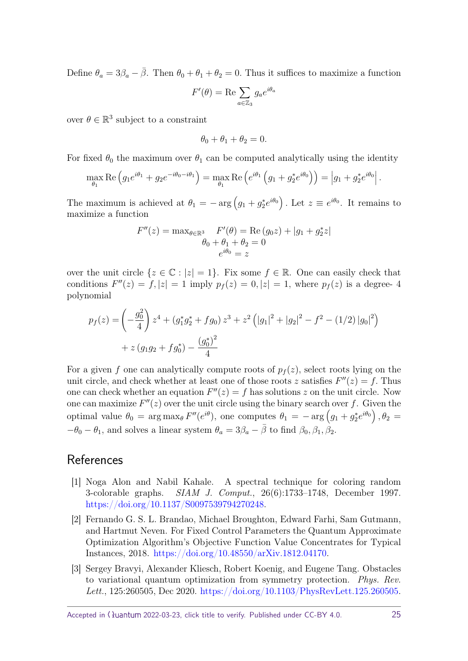Define  $\theta_a = 3\beta_a - \bar{\beta}$ . Then  $\theta_0 + \theta_1 + \theta_2 = 0$ . Thus it suffices to maximize a function

$$
F'(\theta) = \text{Re} \sum_{a \in \mathbb{Z}_3} g_a e^{i\theta_a}
$$

over  $\theta \in \mathbb{R}^3$  subject to a constraint

$$
\theta_0 + \theta_1 + \theta_2 = 0.
$$

For fixed  $\theta_0$  the maximum over  $\theta_1$  can be computed analytically using the identity

$$
\max_{\theta_1} \text{Re} \left( g_1 e^{i\theta_1} + g_2 e^{-i\theta_0 - i\theta_1} \right) = \max_{\theta_1} \text{Re} \left( e^{i\theta_1} \left( g_1 + g_2^* e^{i\theta_0} \right) \right) = \left| g_1 + g_2^* e^{i\theta_0} \right|.
$$

The maximum is achieved at  $\theta_1 = - \arg (g_1 + g_2^* e^{i\theta_0})$ . Let  $z \equiv e^{i\theta_0}$ . It remains to maximize a function

$$
F''(z) = \max_{\theta \in \mathbb{R}^3} F'(\theta) = \text{Re}(g_0 z) + |g_1 + g_2^* z|
$$
  

$$
\theta_0 + \theta_1 + \theta_2 = 0
$$
  

$$
e^{i\theta_0} = z
$$

over the unit circle  $\{z \in \mathbb{C} : |z| = 1\}$ . Fix some  $f \in \mathbb{R}$ . One can easily check that conditions  $F''(z) = f, |z| = 1$  imply  $p_f(z) = 0, |z| = 1$ , where  $p_f(z)$  is a degree- 4 polynomial

$$
p_f(z) = \left(-\frac{g_0^2}{4}\right)z^4 + \left(g_1^*g_2^* + fg_0\right)z^3 + z^2\left(\left|g_1\right|^2 + \left|g_2\right|^2 - f^2 - \left(1/2\right)\left|g_0\right|^2\right) + z\left(g_1g_2 + fg_0^*\right) - \frac{\left(g_0^*\right)^2}{4}
$$

For a given f one can analytically compute roots of  $p_f(z)$ , select roots lying on the unit circle, and check whether at least one of those roots *z* satisfies  $F''(z) = f$ . Thus one can check whether an equation  $F''(z) = f$  has solutions *z* on the unit circle. Now one can maximize  $F''(z)$  over the unit circle using the binary search over  $f$ . Given the optimal value  $\theta_0 = \arg \max_{\theta} F''(e^{i\theta})$ , one computes  $\theta_1 = -\arg (g_1 + g_2^* e^{i\theta_0})$ ,  $\theta_2 =$ *−θ*<sub>0</sub> − *θ*<sub>1</sub>*,* and solves a linear system *θ*<sub>*a*</sub> =  $3\beta$ <sub>*a*</sub> −  $\bar{\beta}$  to find  $\beta$ <sub>0</sub>*,*  $\beta$ <sub>1</sub>*,*  $\beta$ <sub>2</sub>*.* 

# **References**

- <span id="page-24-1"></span>[1] Noga Alon and Nabil Kahale. A spectral technique for coloring random 3-colorable graphs. SIAM J. Comput., 26(6):1733–1748, December 1997. [https://doi.org/10.1137/S0097539794270248.](https://doi.org/10.1137/S0097539794270248)
- <span id="page-24-2"></span>[2] Fernando G. S. L. Brandao, Michael Broughton, Edward Farhi, Sam Gutmann, and Hartmut Neven. For Fixed Control Parameters the Quantum Approximate Optimization Algorithm's Objective Function Value Concentrates for Typical Instances, 2018. [https://doi.org/10.48550/arXiv.1812.04170.](https://doi.org/10.48550/arXiv.1812.04170)
- <span id="page-24-0"></span>[3] Sergey Bravyi, Alexander Kliesch, Robert Koenig, and Eugene Tang. Obstacles to variational quantum optimization from symmetry protection. Phys. Rev. Lett., 125:260505, Dec 2020. [https://doi.org/10.1103/PhysRevLett.125.260505.](https://doi.org/10.1103/PhysRevLett.125.260505)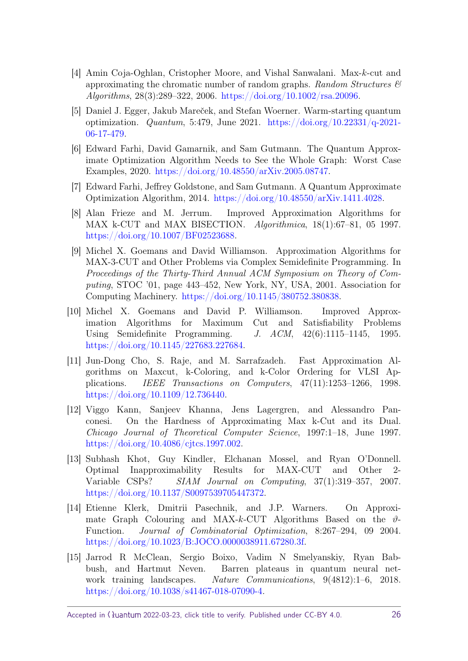- <span id="page-25-10"></span>[4] Amin Coja-Oghlan, Cristopher Moore, and Vishal Sanwalani. Max-*k*-cut and approximating the chromatic number of random graphs. Random Structures  $\mathcal{C}$ Algorithms, 28(3):289–322, 2006. [https://doi.org/10.1002/rsa.20096.](https://doi.org/10.1002/rsa.20096)
- <span id="page-25-9"></span>[5] Daniel J. Egger, Jakub Mareček, and Stefan Woerner. Warm-starting quantum optimization. *Quantum*, 5:479, June 2021. [https://doi.org/10.22331/q-2021-](https://doi.org/10.22331/q-2021-06-17-479) [06-17-479.](https://doi.org/10.22331/q-2021-06-17-479)
- <span id="page-25-1"></span>[6] Edward Farhi, David Gamarnik, and Sam Gutmann. The Quantum Approximate Optimization Algorithm Needs to See the Whole Graph: Worst Case Examples, 2020. [https://doi.org/10.48550/arXiv.2005.08747.](https://doi.org/10.48550/arXiv.2005.08747)
- <span id="page-25-0"></span>[7] Edward Farhi, Jeffrey Goldstone, and Sam Gutmann. A Quantum Approximate Optimization Algorithm, 2014. [https://doi.org/10.48550/arXiv.1411.4028.](https://doi.org/10.48550/arXiv.1411.4028)
- <span id="page-25-3"></span>[8] Alan Frieze and M. Jerrum. Improved Approximation Algorithms for MAX k-CUT and MAX BISECTION. Algorithmica, 18(1):67–81, 05 1997. [https://doi.org/10.1007/BF02523688.](https://doi.org/10.1007/BF02523688)
- <span id="page-25-8"></span>[9] Michel X. Goemans and David Williamson. Approximation Algorithms for MAX-3-CUT and Other Problems via Complex Semidefinite Programming. In Proceedings of the Thirty-Third Annual ACM Symposium on Theory of Computing, STOC '01, page 443–452, New York, NY, USA, 2001. Association for Computing Machinery. [https://doi.org/10.1145/380752.380838.](https://doi.org/10.1145/380752.380838)
- <span id="page-25-6"></span>[10] Michel X. Goemans and David P. Williamson. Improved Approximation Algorithms for Maximum Cut and Satisfiability Problems Using Semidefinite Programming. J. ACM, 42(6):1115–1145, 1995. [https://doi.org/10.1145/227683.227684.](https://doi.org/10.1145/227683.227684)
- <span id="page-25-2"></span>[11] Jun-Dong Cho, S. Raje, and M. Sarrafzadeh. Fast Approximation Algorithms on Maxcut, k-Coloring, and k-Color Ordering for VLSI Applications. IEEE Transactions on Computers, 47(11):1253–1266, 1998. [https://doi.org/10.1109/12.736440.](https://doi.org/10.1109/12.736440)
- <span id="page-25-4"></span>[12] Viggo Kann, Sanjeev Khanna, Jens Lagergren, and Alessandro Panconesi. On the Hardness of Approximating Max k-Cut and its Dual. Chicago Journal of Theoretical Computer Science, 1997:1–18, June 1997. [https://doi.org/10.4086/cjtcs.1997.002.](https://doi.org/10.4086/cjtcs.1997.002)
- <span id="page-25-5"></span>[13] Subhash Khot, Guy Kindler, Elchanan Mossel, and Ryan O'Donnell. Optimal Inapproximability Results for MAX-CUT and Other 2- Variable CSPs? SIAM Journal on Computing, 37(1):319–357, 2007. [https://doi.org/10.1137/S0097539705447372.](https://doi.org/10.1137/S0097539705447372)
- <span id="page-25-7"></span>[14] Etienne Klerk, Dmitrii Pasechnik, and J.P. Warners. On Approximate Graph Colouring and MAX- $k$ -CUT Algorithms Based on the  $\vartheta$ -Function. Journal of Combinatorial Optimization, 8:267–294, 09 2004. [https://doi.org/10.1023/B:JOCO.0000038911.67280.3f.](https://doi.org/10.1023/B:JOCO.0000038911.67280.3f)
- <span id="page-25-11"></span>[15] Jarrod R McClean, Sergio Boixo, Vadim N Smelyanskiy, Ryan Babbush, and Hartmut Neven. Barren plateaus in quantum neural network training landscapes. Nature Communications, 9(4812):1–6, 2018. [https://doi.org/10.1038/s41467-018-07090-4.](https://doi.org/10.1038/s41467-018-07090-4)